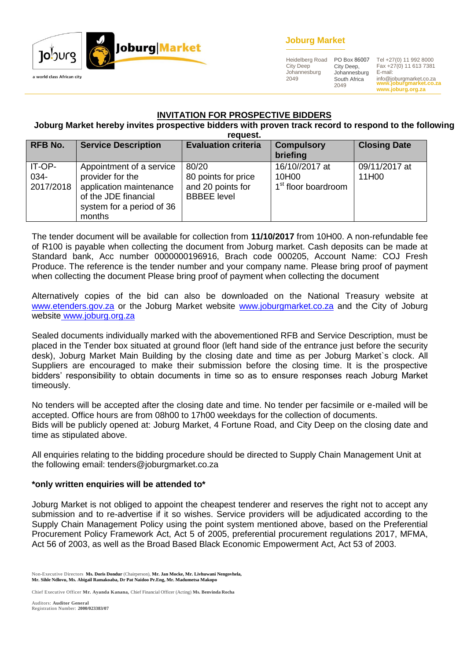



Heidelberg Road City Deep Johannesburg 2049

City Deep, Johannesburg South Africa 2049

**www.joburgmarket.co.za www.joburg.org.za** PO Box 86007 Tel +27(0) 11 992 8000 Fax +27(0) 11 613 7381 E-mail: info@joburgmarket.co.za

#### **INVITATION FOR PROSPECTIVE BIDDERS**

#### **Joburg Market hereby invites prospective bidders with proven track record to respond to the following request.**

|                             |                                                                                                                                        | i cuucsi.                                                               |                                                            |                        |
|-----------------------------|----------------------------------------------------------------------------------------------------------------------------------------|-------------------------------------------------------------------------|------------------------------------------------------------|------------------------|
| <b>RFB No.</b>              | <b>Service Description</b>                                                                                                             | <b>Evaluation criteria</b>                                              | <b>Compulsory</b><br>briefing                              | <b>Closing Date</b>    |
| IT-OP-<br>034-<br>2017/2018 | Appointment of a service<br>provider for the<br>application maintenance<br>of the JDE financial<br>system for a period of 36<br>months | 80/20<br>80 points for price<br>and 20 points for<br><b>BBBEE</b> level | 16/10//2017 at<br>10H00<br>1 <sup>st</sup> floor boardroom | 09/11/2017 at<br>11H00 |

The tender document will be available for collection from **11/10/2017** from 10H00. A non-refundable fee of R100 is payable when collecting the document from Joburg market. Cash deposits can be made at Standard bank, Acc number 0000000196916, Brach code 000205, Account Name: COJ Fresh Produce. The reference is the tender number and your company name. Please bring proof of payment when collecting the document Please bring proof of payment when collecting the document

Alternatively copies of the bid can also be downloaded on the National Treasury website at [www.etenders.gov.za](http://www.etenders.gov.za/) or the Joburg Market website [www.joburgmarket.co.za](http://www.joburgmarket.co.za/) and the City of Joburg website [www.joburg.org.za](http://www.joburg.org.za/)

Sealed documents individually marked with the abovementioned RFB and Service Description, must be placed in the Tender box situated at ground floor (left hand side of the entrance just before the security desk), Joburg Market Main Building by the closing date and time as per Joburg Market`s clock. All Suppliers are encouraged to make their submission before the closing time. It is the prospective bidders' responsibility to obtain documents in time so as to ensure responses reach Joburg Market timeously.

No tenders will be accepted after the closing date and time. No tender per facsimile or e-mailed will be accepted. Office hours are from 08h00 to 17h00 weekdays for the collection of documents. Bids will be publicly opened at: Joburg Market, 4 Fortune Road, and City Deep on the closing date and time as stipulated above.

All enquiries relating to the bidding procedure should be directed to Supply Chain Management Unit at the following email: tenders@joburgmarket.co.za

#### **\*only written enquiries will be attended to\***

Joburg Market is not obliged to appoint the cheapest tenderer and reserves the right not to accept any submission and to re-advertise if it so wishes. Service providers will be adjudicated according to the Supply Chain Management Policy using the point system mentioned above, based on the Preferential Procurement Policy Framework Act, Act 5 of 2005, preferential procurement regulations 2017, MFMA, Act 56 of 2003, as well as the Broad Based Black Economic Empowerment Act, Act 53 of 2003.

Non-Executive Directors **Ms. Doris Dondur** (Chairperson), **Mr. Jan Mocke, Mr. Livhuwani Nengovhela, Mr. Sihle Ndlovu, Ms. Abigail Ramakoaba, Dr Pat Naidoo Pr.Eng, Mr. Madumetsa Makopo**

Chief Executive Officer **Mr. Ayanda Kanana,** Chief Financial Officer (Acting) **Ms. Benvinda Rocha**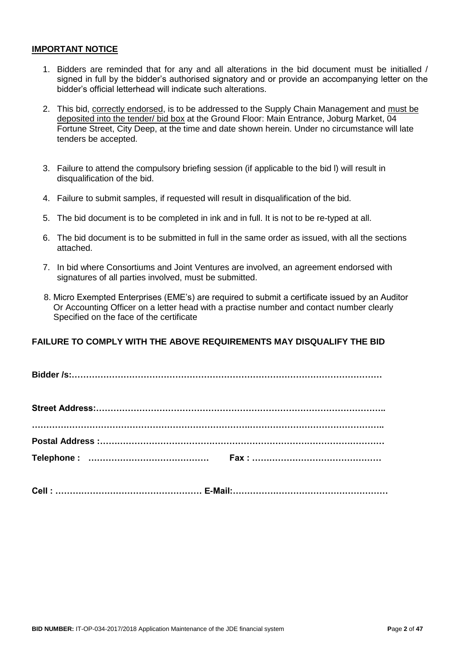#### **IMPORTANT NOTICE**

- 1. Bidders are reminded that for any and all alterations in the bid document must be initialled / signed in full by the bidder's authorised signatory and or provide an accompanying letter on the bidder's official letterhead will indicate such alterations.
- 2. This bid, correctly endorsed, is to be addressed to the Supply Chain Management and must be deposited into the tender/ bid box at the Ground Floor: Main Entrance, Joburg Market, 04 Fortune Street, City Deep, at the time and date shown herein. Under no circumstance will late tenders be accepted.
- 3. Failure to attend the compulsory briefing session (if applicable to the bid l) will result in disqualification of the bid.
- 4. Failure to submit samples, if requested will result in disqualification of the bid.
- 5. The bid document is to be completed in ink and in full. It is not to be re-typed at all.
- 6. The bid document is to be submitted in full in the same order as issued, with all the sections attached.
- 7. In bid where Consortiums and Joint Ventures are involved, an agreement endorsed with signatures of all parties involved, must be submitted.
- 8. Micro Exempted Enterprises (EME's) are required to submit a certificate issued by an Auditor Or Accounting Officer on a letter head with a practise number and contact number clearly Specified on the face of the certificate

### **FAILURE TO COMPLY WITH THE ABOVE REQUIREMENTS MAY DISQUALIFY THE BID**

**Bidder /s:………………………………………………………………………………………………**

| Cell:………………………………………………… E-Mail:………………………………………………… |
|-----------------------------------------------------|
|                                                     |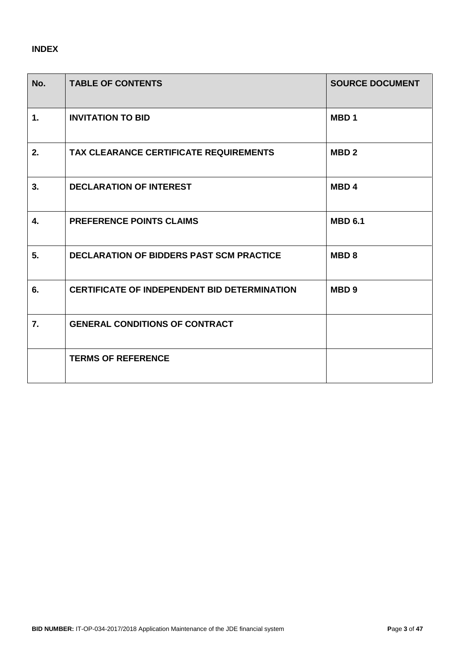# **INDEX**

| No.            | <b>TABLE OF CONTENTS</b>                            | <b>SOURCE DOCUMENT</b> |
|----------------|-----------------------------------------------------|------------------------|
| $\mathbf{1}$ . | <b>INVITATION TO BID</b>                            | MBD <sub>1</sub>       |
| 2.             | TAX CLEARANCE CERTIFICATE REQUIREMENTS              | MBD <sub>2</sub>       |
| 3.             | <b>DECLARATION OF INTEREST</b>                      | MBD <sub>4</sub>       |
| 4.             | <b>PREFERENCE POINTS CLAIMS</b>                     | <b>MBD 6.1</b>         |
| 5.             | <b>DECLARATION OF BIDDERS PAST SCM PRACTICE</b>     | MBD <sub>8</sub>       |
| 6.             | <b>CERTIFICATE OF INDEPENDENT BID DETERMINATION</b> | MBD <sub>9</sub>       |
| 7.             | <b>GENERAL CONDITIONS OF CONTRACT</b>               |                        |
|                | <b>TERMS OF REFERENCE</b>                           |                        |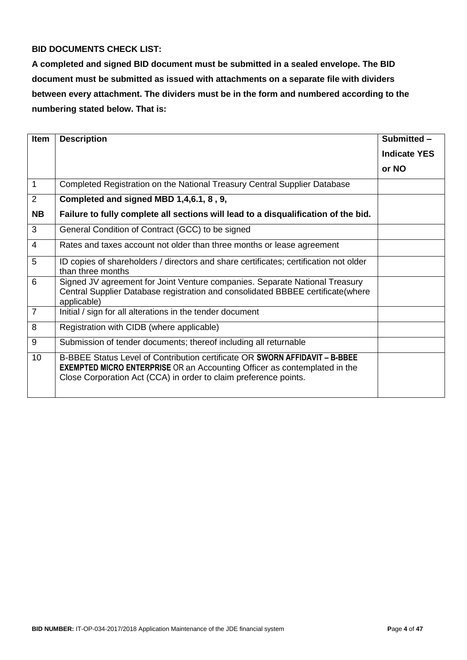### **BID DOCUMENTS CHECK LIST:**

**A completed and signed BID document must be submitted in a sealed envelope. The BID document must be submitted as issued with attachments on a separate file with dividers between every attachment. The dividers must be in the form and numbered according to the numbering stated below. That is:**

| <b>Item</b>    | <b>Description</b>                                                                                                                                                                                                                  | Submitted -         |
|----------------|-------------------------------------------------------------------------------------------------------------------------------------------------------------------------------------------------------------------------------------|---------------------|
|                |                                                                                                                                                                                                                                     | <b>Indicate YES</b> |
|                |                                                                                                                                                                                                                                     | or NO               |
| 1              | Completed Registration on the National Treasury Central Supplier Database                                                                                                                                                           |                     |
| 2              | Completed and signed MBD 1,4,6.1, 8, 9,                                                                                                                                                                                             |                     |
| <b>NB</b>      | Failure to fully complete all sections will lead to a disqualification of the bid.                                                                                                                                                  |                     |
| 3              | General Condition of Contract (GCC) to be signed                                                                                                                                                                                    |                     |
| $\overline{4}$ | Rates and taxes account not older than three months or lease agreement                                                                                                                                                              |                     |
| 5              | ID copies of shareholders / directors and share certificates; certification not older<br>than three months                                                                                                                          |                     |
| 6              | Signed JV agreement for Joint Venture companies. Separate National Treasury<br>Central Supplier Database registration and consolidated BBBEE certificate (where<br>applicable)                                                      |                     |
| $\overline{7}$ | Initial / sign for all alterations in the tender document                                                                                                                                                                           |                     |
| 8              | Registration with CIDB (where applicable)                                                                                                                                                                                           |                     |
| 9              | Submission of tender documents; thereof including all returnable                                                                                                                                                                    |                     |
| 10             | B-BBEE Status Level of Contribution certificate OR SWORN AFFIDAVIT - B-BBEE<br><b>EXEMPTED MICRO ENTERPRISE OR an Accounting Officer as contemplated in the</b><br>Close Corporation Act (CCA) in order to claim preference points. |                     |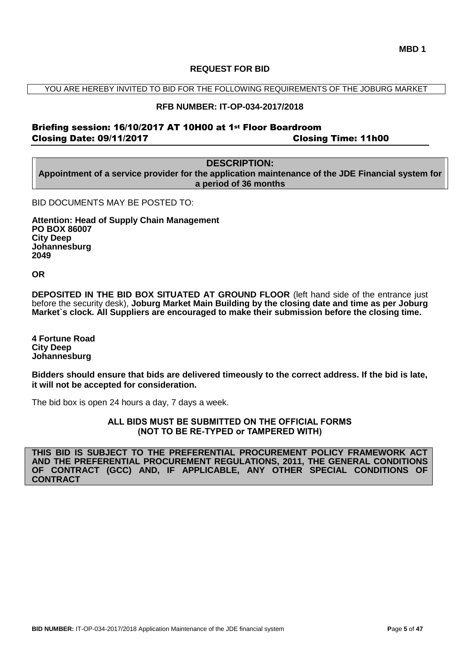#### **REQUEST FOR BID**

YOU ARE HEREBY INVITED TO BID FOR THE FOLLOWING REQUIREMENTS OF THE JOBURG MARKET

#### **RFB NUMBER: IT-OP-034-2017/2018**

### Briefing session: 16/10/2017 AT 10H00 at 1st Floor Boardroom Closing Date: 09/11/2017 Closing Time: 11h00

# **DESCRIPTION:**

**Appointment of a service provider for the application maintenance of the JDE Financial system for a period of 36 months**

BID DOCUMENTS MAY BE POSTED TO:

**Attention: Head of Supply Chain Management PO BOX 86007 City Deep Johannesburg 2049**

**OR**

**DEPOSITED IN THE BID BOX SITUATED AT GROUND FLOOR** (left hand side of the entrance just before the security desk), **Joburg Market Main Building by the closing date and time as per Joburg Market`s clock. All Suppliers are encouraged to make their submission before the closing time.**

**4 Fortune Road City Deep Johannesburg** 

**Bidders should ensure that bids are delivered timeously to the correct address. If the bid is late, it will not be accepted for consideration.**

The bid box is open 24 hours a day, 7 days a week.

**ALL BIDS MUST BE SUBMITTED ON THE OFFICIAL FORMS (NOT TO BE RE-TYPED or TAMPERED WITH)**

**THIS BID IS SUBJECT TO THE PREFERENTIAL PROCUREMENT POLICY FRAMEWORK ACT AND THE PREFERENTIAL PROCUREMENT REGULATIONS, 2011, THE GENERAL CONDITIONS OF CONTRACT (GCC) AND, IF APPLICABLE, ANY OTHER SPECIAL CONDITIONS OF CONTRACT**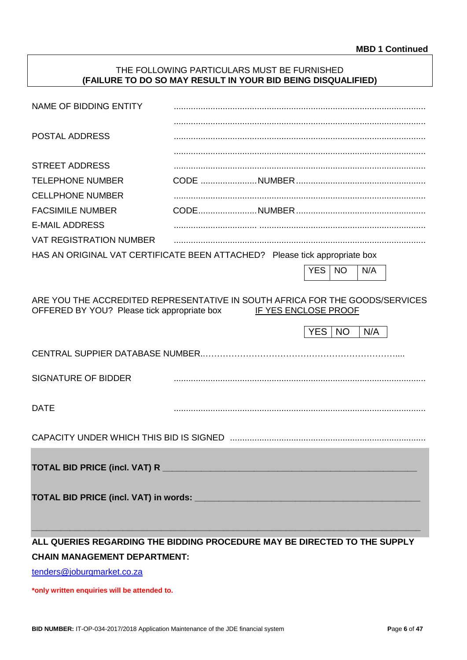#### THE FOLLOWING PARTICULARS MUST BE FURNISHED **(FAILURE TO DO SO MAY RESULT IN YOUR BID BEING DISQUALIFIED)**

| NAME OF BIDDING ENTITY                                                                                                      |                      |            |           |     |  |
|-----------------------------------------------------------------------------------------------------------------------------|----------------------|------------|-----------|-----|--|
| <b>POSTAL ADDRESS</b>                                                                                                       |                      |            |           |     |  |
|                                                                                                                             |                      |            |           |     |  |
| <b>STREET ADDRESS</b>                                                                                                       |                      |            |           |     |  |
| <b>TELEPHONE NUMBER</b>                                                                                                     |                      |            |           |     |  |
| <b>CELLPHONE NUMBER</b>                                                                                                     |                      |            |           |     |  |
| <b>FACSIMILE NUMBER</b>                                                                                                     |                      |            |           |     |  |
| <b>E-MAIL ADDRESS</b>                                                                                                       |                      |            |           |     |  |
| <b>VAT REGISTRATION NUMBER</b>                                                                                              |                      |            |           |     |  |
| HAS AN ORIGINAL VAT CERTIFICATE BEEN ATTACHED? Please tick appropriate box                                                  |                      |            |           |     |  |
|                                                                                                                             |                      | <b>YES</b> | <b>NO</b> | N/A |  |
|                                                                                                                             |                      |            |           |     |  |
| ARE YOU THE ACCREDITED REPRESENTATIVE IN SOUTH AFRICA FOR THE GOODS/SERVICES<br>OFFERED BY YOU? Please tick appropriate box | IF YES ENCLOSE PROOF |            |           |     |  |
|                                                                                                                             |                      | <b>YES</b> | <b>NO</b> | N/A |  |
| CENTRAL SUPPIER DATABASE NUMBER                                                                                             |                      |            |           |     |  |
| <b>SIGNATURE OF BIDDER</b>                                                                                                  |                      |            |           |     |  |
| <b>DATE</b>                                                                                                                 |                      |            |           |     |  |
|                                                                                                                             |                      |            |           |     |  |
|                                                                                                                             |                      |            |           |     |  |
|                                                                                                                             |                      |            |           |     |  |
|                                                                                                                             |                      |            |           |     |  |
|                                                                                                                             |                      |            |           |     |  |
| ALL QUERIES REGARDING THE BIDDING PROCEDURE MAY BE DIRECTED TO THE SUPPLY                                                   |                      |            |           |     |  |
| <b>CHAIN MANAGEMENT DEPARTMENT:</b>                                                                                         |                      |            |           |     |  |

[tenders@joburgmarket.co.za](mailto:tenders@joburgmarket.co.za)

**\*only written enquiries will be attended to.**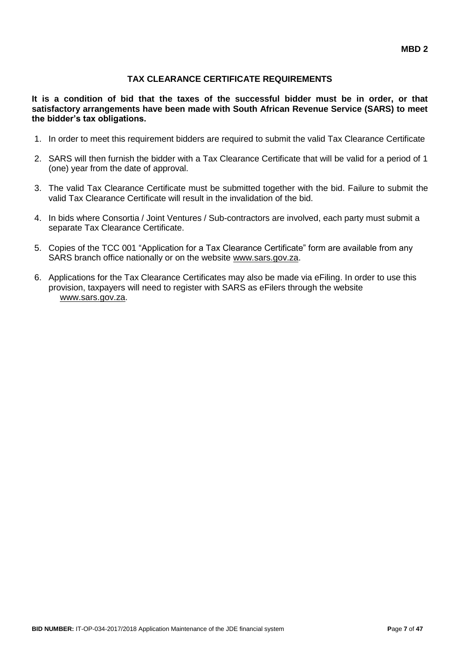### **TAX CLEARANCE CERTIFICATE REQUIREMENTS**

**It is a condition of bid that the taxes of the successful bidder must be in order, or that satisfactory arrangements have been made with South African Revenue Service (SARS) to meet the bidder's tax obligations.**

- 1. In order to meet this requirement bidders are required to submit the valid Tax Clearance Certificate
- 2. SARS will then furnish the bidder with a Tax Clearance Certificate that will be valid for a period of 1 (one) year from the date of approval.
- 3. The valid Tax Clearance Certificate must be submitted together with the bid. Failure to submit the valid Tax Clearance Certificate will result in the invalidation of the bid.
- 4. In bids where Consortia / Joint Ventures / Sub-contractors are involved, each party must submit a separate Tax Clearance Certificate.
- 5. Copies of the TCC 001 "Application for a Tax Clearance Certificate" form are available from any SARS branch office nationally or on the website [www.sars.gov.za.](http://www.sars.gov.za/)
- 6. Applications for the Tax Clearance Certificates may also be made via eFiling. In order to use this provision, taxpayers will need to register with SARS as eFilers through the website [www.sars.gov.za.](http://www.sars.gov.za/)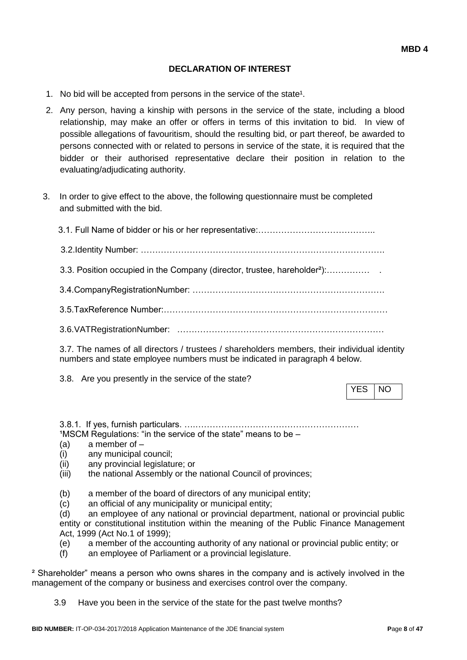### **DECLARATION OF INTEREST**

- 1. No bid will be accepted from persons in the service of the state<sup>1</sup>.
- 2. Any person, having a kinship with persons in the service of the state, including a blood relationship, may make an offer or offers in terms of this invitation to bid. In view of possible allegations of favouritism, should the resulting bid, or part thereof, be awarded to persons connected with or related to persons in service of the state, it is required that the bidder or their authorised representative declare their position in relation to the evaluating/adjudicating authority.
- 3. In order to give effect to the above, the following questionnaire must be completed and submitted with the bid.

| 3.3. Position occupied in the Company (director, trustee, hareholder <sup>2</sup> ): |
|--------------------------------------------------------------------------------------|
|                                                                                      |
|                                                                                      |
|                                                                                      |
|                                                                                      |

3.7. The names of all directors / trustees / shareholders members, their individual identity numbers and state employee numbers must be indicated in paragraph 4 below.

3.8. Are you presently in the service of the state?

YES INO

3.8.1. If yes, furnish particulars. ….…………………………………………………  $1$ MSCM Regulations: "in the service of the state" means to be  $-$ 

- (a) a member of –
- (i) any municipal council;
- (ii) any provincial legislature; or
- (iii) the national Assembly or the national Council of provinces;
- (b) a member of the board of directors of any municipal entity;
- (c) an official of any municipality or municipal entity;

(d) an employee of any national or provincial department, national or provincial public entity or constitutional institution within the meaning of the Public Finance Management Act, 1999 (Act No.1 of 1999);

- (e) a member of the accounting authority of any national or provincial public entity; or
- (f) an employee of Parliament or a provincial legislature.

² Shareholder" means a person who owns shares in the company and is actively involved in the management of the company or business and exercises control over the company.

3.9 Have you been in the service of the state for the past twelve months?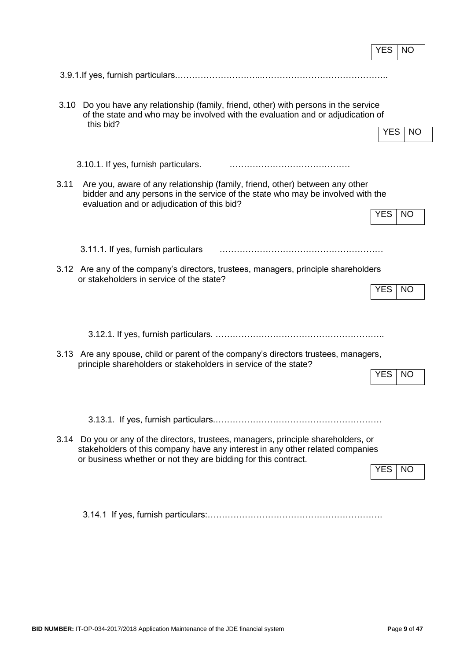|                                                                                                                                                                                                                                        | <b>YES</b> | <b>NO</b> |
|----------------------------------------------------------------------------------------------------------------------------------------------------------------------------------------------------------------------------------------|------------|-----------|
|                                                                                                                                                                                                                                        |            |           |
|                                                                                                                                                                                                                                        |            |           |
| Do you have any relationship (family, friend, other) with persons in the service<br>3.10<br>of the state and who may be involved with the evaluation and or adjudication of<br>this bid?                                               | <b>YES</b> | <b>NO</b> |
| 3.10.1. If yes, furnish particulars.                                                                                                                                                                                                   |            |           |
| 3.11<br>Are you, aware of any relationship (family, friend, other) between any other<br>bidder and any persons in the service of the state who may be involved with the                                                                |            |           |
| evaluation and or adjudication of this bid?                                                                                                                                                                                            | <b>YES</b> | <b>NO</b> |
| 3.11.1. If yes, furnish particulars                                                                                                                                                                                                    |            |           |
| 3.12 Are any of the company's directors, trustees, managers, principle shareholders<br>or stakeholders in service of the state?                                                                                                        |            |           |
|                                                                                                                                                                                                                                        | YES        | <b>NO</b> |
|                                                                                                                                                                                                                                        |            |           |
| 3.13 Are any spouse, child or parent of the company's directors trustees, managers,<br>principle shareholders or stakeholders in service of the state?                                                                                 |            |           |
|                                                                                                                                                                                                                                        | <b>YES</b> | <b>NO</b> |
|                                                                                                                                                                                                                                        |            |           |
|                                                                                                                                                                                                                                        |            |           |
| 3.14 Do you or any of the directors, trustees, managers, principle shareholders, or<br>stakeholders of this company have any interest in any other related companies<br>or business whether or not they are bidding for this contract. |            |           |
|                                                                                                                                                                                                                                        | <b>YES</b> | NO.       |
|                                                                                                                                                                                                                                        |            |           |

3.14.1 If yes, furnish particulars:…………………………………………………….

r.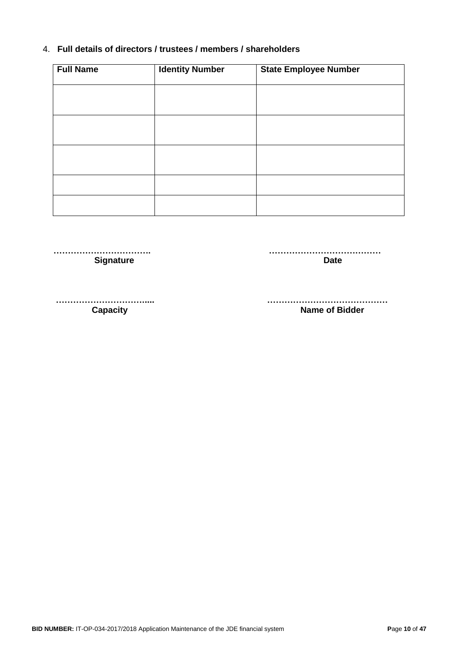### 4. **Full details of directors / trustees / members / shareholders**

| <b>Full Name</b> | <b>Identity Number</b> | <b>State Employee Number</b> |
|------------------|------------------------|------------------------------|
|                  |                        |                              |
|                  |                        |                              |
|                  |                        |                              |
|                  |                        |                              |
|                  |                        |                              |
|                  |                        |                              |
|                  |                        |                              |

 **……………………………. ………………………………… Signature Date** 

 **…………………………..... …………………………………… Capacity Capacity Capacity Capacity Capacity Capacity Capacity Capacity Capacity Capacity Capacity Capacity Capacity Capacity Capacity Capacity Capacity Capacity Capacity Capacity C**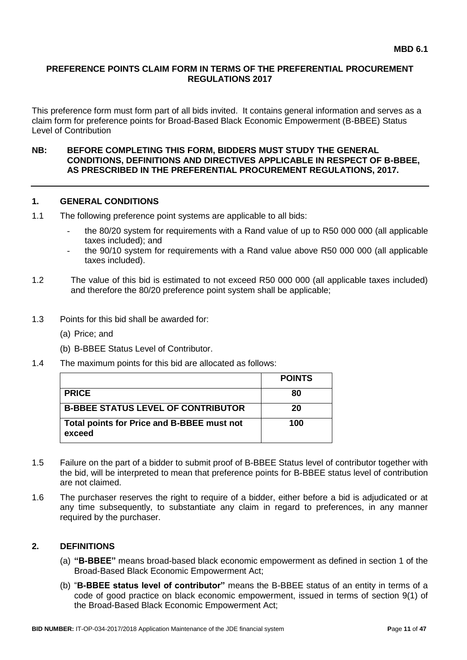### **PREFERENCE POINTS CLAIM FORM IN TERMS OF THE PREFERENTIAL PROCUREMENT REGULATIONS 2017**

This preference form must form part of all bids invited. It contains general information and serves as a claim form for preference points for Broad-Based Black Economic Empowerment (B-BBEE) Status Level of Contribution

#### **NB: BEFORE COMPLETING THIS FORM, BIDDERS MUST STUDY THE GENERAL CONDITIONS, DEFINITIONS AND DIRECTIVES APPLICABLE IN RESPECT OF B-BBEE, AS PRESCRIBED IN THE PREFERENTIAL PROCUREMENT REGULATIONS, 2017.**

#### **1. GENERAL CONDITIONS**

- 1.1 The following preference point systems are applicable to all bids:
	- the 80/20 system for requirements with a Rand value of up to R50 000 000 (all applicable taxes included); and
	- the 90/10 system for requirements with a Rand value above R50 000 000 (all applicable taxes included).
- 1.2 The value of this bid is estimated to not exceed R50 000 000 (all applicable taxes included) and therefore the 80/20 preference point system shall be applicable;
- 1.3 Points for this bid shall be awarded for:
	- (a) Price; and
	- (b) B-BBEE Status Level of Contributor.
- 1.4 The maximum points for this bid are allocated as follows:

|                                                      | <b>POINTS</b> |
|------------------------------------------------------|---------------|
| <b>PRICE</b>                                         | 80            |
| <b>B-BBEE STATUS LEVEL OF CONTRIBUTOR</b>            | 20            |
| Total points for Price and B-BBEE must not<br>exceed | 100           |

- 1.5 Failure on the part of a bidder to submit proof of B-BBEE Status level of contributor together with the bid, will be interpreted to mean that preference points for B-BBEE status level of contribution are not claimed.
- 1.6 The purchaser reserves the right to require of a bidder, either before a bid is adjudicated or at any time subsequently, to substantiate any claim in regard to preferences, in any manner required by the purchaser.

### **2. DEFINITIONS**

- (a) **"B-BBEE"** means broad-based black economic empowerment as defined in section 1 of the Broad-Based Black Economic Empowerment Act;
- (b) "**B-BBEE status level of contributor"** means the B-BBEE status of an entity in terms of a code of good practice on black economic empowerment, issued in terms of section 9(1) of the Broad-Based Black Economic Empowerment Act;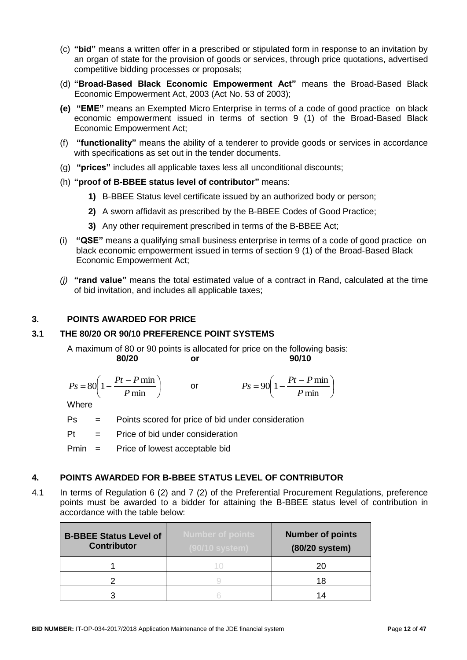- (c) **"bid"** means a written offer in a prescribed or stipulated form in response to an invitation by an organ of state for the provision of goods or services, through price quotations, advertised competitive bidding processes or proposals;
- (d) **"Broad-Based Black Economic Empowerment Act"** means the Broad-Based Black Economic Empowerment Act, 2003 (Act No. 53 of 2003);
- **(e) "EME"** means an Exempted Micro Enterprise in terms of a code of good practice on black economic empowerment issued in terms of section 9 (1) of the Broad-Based Black Economic Empowerment Act;
- (f) **"functionality"** means the ability of a tenderer to provide goods or services in accordance with specifications as set out in the tender documents.
- (g) **"prices"** includes all applicable taxes less all unconditional discounts;
- (h) **"proof of B-BBEE status level of contributor"** means:
	- **1)** B-BBEE Status level certificate issued by an authorized body or person;
	- **2)** A sworn affidavit as prescribed by the B-BBEE Codes of Good Practice;
	- **3)** Any other requirement prescribed in terms of the B-BBEE Act;
- (i) **"QSE"** means a qualifying small business enterprise in terms of a code of good practice on black economic empowerment issued in terms of section 9 (1) of the Broad-Based Black Economic Empowerment Act;
- *(j)* **"rand value"** means the total estimated value of a contract in Rand, calculated at the time of bid invitation, and includes all applicable taxes;

#### **3. POINTS AWARDED FOR PRICE**

#### **3.1 THE 80/20 OR 90/10 PREFERENCE POINT SYSTEMS**

A maximum of 80 or 90 points is allocated for price on the following basis: **80/20 or 90/10**

$$
Ps = 80\left(1 - \frac{Pt - P \min}{P \min}\right) \qquad \text{or} \qquad \qquad Ps = 90\left(1 - \frac{Pt - P \min}{P \min}\right)
$$

**Where** 

Ps = Points scored for price of bid under consideration

 $Pt =$  Price of bid under consideration

Pmin = Price of lowest acceptable bid

#### **4. POINTS AWARDED FOR B-BBEE STATUS LEVEL OF CONTRIBUTOR**

4.1 In terms of Regulation 6 (2) and 7 (2) of the Preferential Procurement Regulations, preference points must be awarded to a bidder for attaining the B-BBEE status level of contribution in accordance with the table below:

| <b>B-BBEE Status Level of</b><br><b>Contributor</b> | <b>Number of points</b><br>(90/10 system) | <b>Number of points</b><br>(80/20 system) |
|-----------------------------------------------------|-------------------------------------------|-------------------------------------------|
|                                                     |                                           | 20                                        |
|                                                     |                                           | 18                                        |
|                                                     |                                           | 14                                        |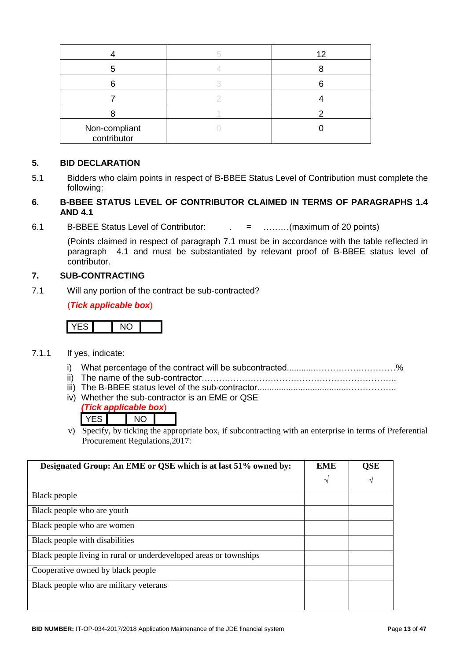|                              | 12 |
|------------------------------|----|
|                              |    |
|                              |    |
|                              |    |
|                              |    |
| Non-compliant<br>contributor |    |

#### **5. BID DECLARATION**

5.1 Bidders who claim points in respect of B-BBEE Status Level of Contribution must complete the following:

### **6. B-BBEE STATUS LEVEL OF CONTRIBUTOR CLAIMED IN TERMS OF PARAGRAPHS 1.4 AND 4.1**

6.1 B-BBEE Status Level of Contributor: . = ………(maximum of 20 points)

(Points claimed in respect of paragraph 7.1 must be in accordance with the table reflected in paragraph 4.1 and must be substantiated by relevant proof of B-BBEE status level of contributor.

### **7. SUB-CONTRACTING**

7.1 Will any portion of the contract be sub-contracted?

(*Tick applicable box*)

# YES NO

- 7.1.1 If yes, indicate:
	- i) What percentage of the contract will be subcontracted............…………….…………%
	- ii) The name of the sub-contractor…………………………………………………………..
	- iii) The B-BBEE status level of the sub-contractor......................................……………..
	- iv) Whether the sub-contractor is an EME or QSE

|  | ck annlicable bo | וצנו |
|--|------------------|------|
|  |                  |      |

v) Specify, by ticking the appropriate box, if subcontracting with an enterprise in terms of Preferential Procurement Regulations,2017:

| Designated Group: An EME or QSE which is at last 51% owned by:    | <b>EME</b> | <b>QSE</b> |
|-------------------------------------------------------------------|------------|------------|
|                                                                   | N          | V          |
| Black people                                                      |            |            |
| Black people who are youth                                        |            |            |
| Black people who are women                                        |            |            |
| Black people with disabilities                                    |            |            |
| Black people living in rural or underdeveloped areas or townships |            |            |
| Cooperative owned by black people                                 |            |            |
| Black people who are military veterans                            |            |            |
|                                                                   |            |            |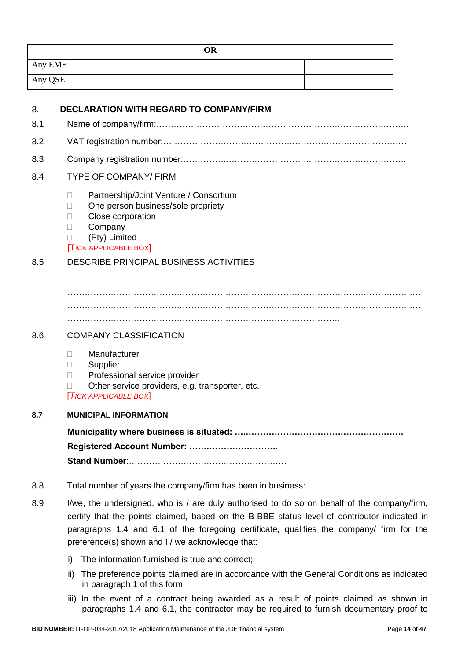| <b>OR</b> |  |
|-----------|--|
| Any EME   |  |
| Any QSE   |  |

| 8.  | <b>DECLARATION WITH REGARD TO COMPANY/FIRM</b>                                                                                                                                                                                                                                                                                              |  |  |
|-----|---------------------------------------------------------------------------------------------------------------------------------------------------------------------------------------------------------------------------------------------------------------------------------------------------------------------------------------------|--|--|
| 8.1 |                                                                                                                                                                                                                                                                                                                                             |  |  |
| 8.2 |                                                                                                                                                                                                                                                                                                                                             |  |  |
| 8.3 |                                                                                                                                                                                                                                                                                                                                             |  |  |
| 8.4 | <b>TYPE OF COMPANY/ FIRM</b>                                                                                                                                                                                                                                                                                                                |  |  |
|     | Partnership/Joint Venture / Consortium<br>$\Box$<br>One person business/sole propriety<br>п<br>Close corporation<br>П<br>Company<br>$\Box$<br>(Pty) Limited<br>П<br><b>TICK APPLICABLE BOX</b>                                                                                                                                              |  |  |
| 8.5 | DESCRIBE PRINCIPAL BUSINESS ACTIVITIES                                                                                                                                                                                                                                                                                                      |  |  |
|     |                                                                                                                                                                                                                                                                                                                                             |  |  |
| 8.6 | <b>COMPANY CLASSIFICATION</b>                                                                                                                                                                                                                                                                                                               |  |  |
|     | Manufacturer<br>П.<br>Supplier<br>Ш<br>Professional service provider<br>П<br>Other service providers, e.g. transporter, etc.<br><b>TICK APPLICABLE BOX</b>                                                                                                                                                                                  |  |  |
| 8.7 | <b>MUNICIPAL INFORMATION</b>                                                                                                                                                                                                                                                                                                                |  |  |
|     |                                                                                                                                                                                                                                                                                                                                             |  |  |
|     | Registered Account Number:                                                                                                                                                                                                                                                                                                                  |  |  |
|     |                                                                                                                                                                                                                                                                                                                                             |  |  |
| 8.8 |                                                                                                                                                                                                                                                                                                                                             |  |  |
| 8.9 | I/we, the undersigned, who is / are duly authorised to do so on behalf of the company/firm,<br>certify that the points claimed, based on the B-BBE status level of contributor indicated in<br>paragraphs 1.4 and 6.1 of the foregoing certificate, qualifies the company/ firm for the<br>preference(s) shown and I / we acknowledge that: |  |  |
|     | The information furnished is true and correct;<br>i)                                                                                                                                                                                                                                                                                        |  |  |

- ii) The preference points claimed are in accordance with the General Conditions as indicated in paragraph 1 of this form;
- iii) In the event of a contract being awarded as a result of points claimed as shown in paragraphs 1.4 and 6.1, the contractor may be required to furnish documentary proof to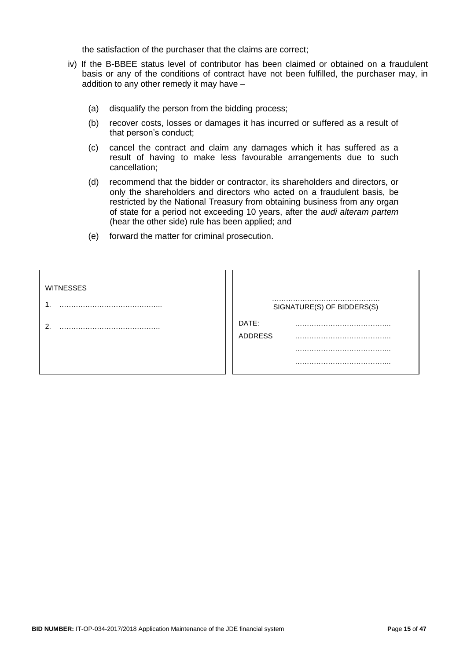the satisfaction of the purchaser that the claims are correct;

- iv) If the B-BBEE status level of contributor has been claimed or obtained on a fraudulent basis or any of the conditions of contract have not been fulfilled, the purchaser may, in addition to any other remedy it may have –
	- (a) disqualify the person from the bidding process;
	- (b) recover costs, losses or damages it has incurred or suffered as a result of that person's conduct;
	- (c) cancel the contract and claim any damages which it has suffered as a result of having to make less favourable arrangements due to such cancellation;
	- (d) recommend that the bidder or contractor, its shareholders and directors, or only the shareholders and directors who acted on a fraudulent basis, be restricted by the National Treasury from obtaining business from any organ of state for a period not exceeding 10 years, after the *audi alteram partem* (hear the other side) rule has been applied; and
	- (e) forward the matter for criminal prosecution.

| <b>WITNESSES</b> | SIGNATURE(S) OF BIDDERS(S) |
|------------------|----------------------------|
|                  | DATE:<br><b>ADDRESS</b>    |
|                  |                            |
|                  |                            |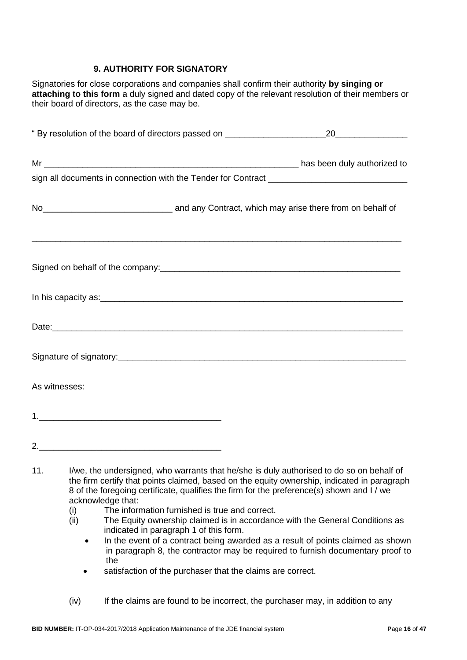### **9. AUTHORITY FOR SIGNATORY**

Signatories for close corporations and companies shall confirm their authority **by singing or attaching to this form** a duly signed and dated copy of the relevant resolution of their members or their board of directors, as the case may be.

|     | " By resolution of the board of directors passed on ____________________________                                                                                                                                                                                                     |  |
|-----|--------------------------------------------------------------------------------------------------------------------------------------------------------------------------------------------------------------------------------------------------------------------------------------|--|
|     |                                                                                                                                                                                                                                                                                      |  |
|     |                                                                                                                                                                                                                                                                                      |  |
|     | No <sub>___________________________________</sub> and any Contract, which may arise there from on behalf of                                                                                                                                                                          |  |
|     |                                                                                                                                                                                                                                                                                      |  |
|     |                                                                                                                                                                                                                                                                                      |  |
|     |                                                                                                                                                                                                                                                                                      |  |
|     |                                                                                                                                                                                                                                                                                      |  |
|     | As witnesses:                                                                                                                                                                                                                                                                        |  |
|     |                                                                                                                                                                                                                                                                                      |  |
|     |                                                                                                                                                                                                                                                                                      |  |
| 11. | I/we, the undersigned, who warrants that he/she is duly authorised to do so on behalf of<br>the firm certify that points claimed, based on the equity ownership, indicated in paragraph<br>8 of the foregoing certificate, qualifies the firm for the preference(s) shown and I / we |  |

- acknowledge that:
- (i) The information furnished is true and correct.
- (ii) The Equity ownership claimed is in accordance with the General Conditions as indicated in paragraph 1 of this form.
	- In the event of a contract being awarded as a result of points claimed as shown in paragraph 8, the contractor may be required to furnish documentary proof to the
	- satisfaction of the purchaser that the claims are correct.
- (iv) If the claims are found to be incorrect, the purchaser may, in addition to any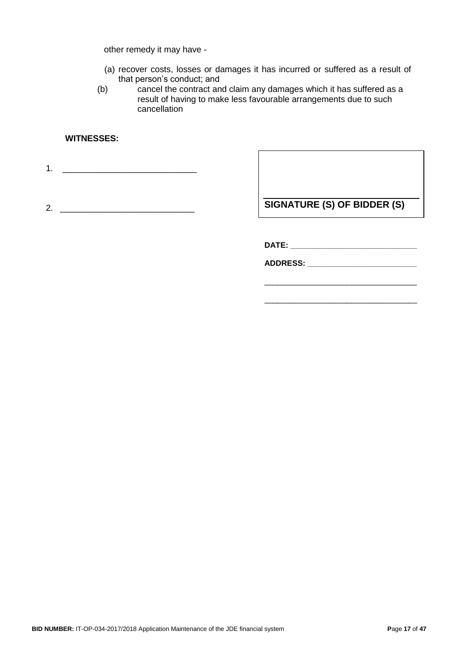other remedy it may have -

- (a) recover costs, losses or damages it has incurred or suffered as a result of that person's conduct; and
- (b) cancel the contract and claim any damages which it has suffered as a result of having to make less favourable arrangements due to such cancellation

#### **WITNESSES:**

1. \_\_\_\_\_\_\_\_\_\_\_\_\_\_\_\_\_\_\_\_\_\_\_\_\_\_\_\_

2. \_\_\_\_\_\_\_\_\_\_\_\_\_\_\_\_\_\_\_\_\_\_\_\_\_\_\_\_

**SIGNATURE (S) OF BIDDER (S)**

\_\_\_\_\_\_\_\_\_\_\_\_\_\_\_\_\_\_\_\_\_\_\_\_\_\_\_\_\_\_\_\_\_\_\_

\_\_\_\_\_\_\_\_\_\_\_\_\_\_\_\_\_\_\_\_\_\_\_\_\_\_\_\_\_\_\_\_\_\_\_

**DATE: \_\_\_\_\_\_\_\_\_\_\_\_\_\_\_\_\_\_\_\_\_\_\_\_\_\_\_\_\_**

**ADDRESS: \_\_\_\_\_\_\_\_\_\_\_\_\_\_\_\_\_\_\_\_\_\_\_\_\_**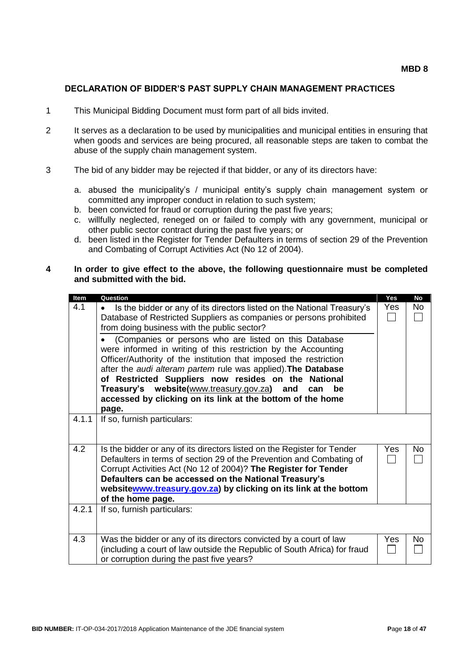#### **DECLARATION OF BIDDER'S PAST SUPPLY CHAIN MANAGEMENT PRACTICES**

- 1 This Municipal Bidding Document must form part of all bids invited.
- 2 It serves as a declaration to be used by municipalities and municipal entities in ensuring that when goods and services are being procured, all reasonable steps are taken to combat the abuse of the supply chain management system.
- 3 The bid of any bidder may be rejected if that bidder, or any of its directors have:
	- a. abused the municipality's / municipal entity's supply chain management system or committed any improper conduct in relation to such system;
	- b. been convicted for fraud or corruption during the past five years;
	- c. willfully neglected, reneged on or failed to comply with any government, municipal or other public sector contract during the past five years; or
	- d. been listed in the Register for Tender Defaulters in terms of section 29 of the Prevention and Combating of Corrupt Activities Act (No 12 of 2004).

#### **4 In order to give effect to the above, the following questionnaire must be completed and submitted with the bid.**

| Question                                                   | Yes                                                                                                                                                                                                                                                                                                                                                                                                                                                                                                                                                                                                                                                                                                                                                                                                                                                                                                                                                                                                                                                                                                                                                                 | <b>No</b>  |
|------------------------------------------------------------|---------------------------------------------------------------------------------------------------------------------------------------------------------------------------------------------------------------------------------------------------------------------------------------------------------------------------------------------------------------------------------------------------------------------------------------------------------------------------------------------------------------------------------------------------------------------------------------------------------------------------------------------------------------------------------------------------------------------------------------------------------------------------------------------------------------------------------------------------------------------------------------------------------------------------------------------------------------------------------------------------------------------------------------------------------------------------------------------------------------------------------------------------------------------|------------|
|                                                            | Yes                                                                                                                                                                                                                                                                                                                                                                                                                                                                                                                                                                                                                                                                                                                                                                                                                                                                                                                                                                                                                                                                                                                                                                 | No         |
|                                                            |                                                                                                                                                                                                                                                                                                                                                                                                                                                                                                                                                                                                                                                                                                                                                                                                                                                                                                                                                                                                                                                                                                                                                                     |            |
|                                                            |                                                                                                                                                                                                                                                                                                                                                                                                                                                                                                                                                                                                                                                                                                                                                                                                                                                                                                                                                                                                                                                                                                                                                                     |            |
|                                                            |                                                                                                                                                                                                                                                                                                                                                                                                                                                                                                                                                                                                                                                                                                                                                                                                                                                                                                                                                                                                                                                                                                                                                                     |            |
|                                                            |                                                                                                                                                                                                                                                                                                                                                                                                                                                                                                                                                                                                                                                                                                                                                                                                                                                                                                                                                                                                                                                                                                                                                                     |            |
|                                                            |                                                                                                                                                                                                                                                                                                                                                                                                                                                                                                                                                                                                                                                                                                                                                                                                                                                                                                                                                                                                                                                                                                                                                                     |            |
|                                                            |                                                                                                                                                                                                                                                                                                                                                                                                                                                                                                                                                                                                                                                                                                                                                                                                                                                                                                                                                                                                                                                                                                                                                                     |            |
|                                                            |                                                                                                                                                                                                                                                                                                                                                                                                                                                                                                                                                                                                                                                                                                                                                                                                                                                                                                                                                                                                                                                                                                                                                                     |            |
|                                                            |                                                                                                                                                                                                                                                                                                                                                                                                                                                                                                                                                                                                                                                                                                                                                                                                                                                                                                                                                                                                                                                                                                                                                                     |            |
| and<br>be<br>can                                           |                                                                                                                                                                                                                                                                                                                                                                                                                                                                                                                                                                                                                                                                                                                                                                                                                                                                                                                                                                                                                                                                                                                                                                     |            |
| accessed by clicking on its link at the bottom of the home |                                                                                                                                                                                                                                                                                                                                                                                                                                                                                                                                                                                                                                                                                                                                                                                                                                                                                                                                                                                                                                                                                                                                                                     |            |
|                                                            |                                                                                                                                                                                                                                                                                                                                                                                                                                                                                                                                                                                                                                                                                                                                                                                                                                                                                                                                                                                                                                                                                                                                                                     |            |
|                                                            |                                                                                                                                                                                                                                                                                                                                                                                                                                                                                                                                                                                                                                                                                                                                                                                                                                                                                                                                                                                                                                                                                                                                                                     |            |
|                                                            |                                                                                                                                                                                                                                                                                                                                                                                                                                                                                                                                                                                                                                                                                                                                                                                                                                                                                                                                                                                                                                                                                                                                                                     |            |
|                                                            |                                                                                                                                                                                                                                                                                                                                                                                                                                                                                                                                                                                                                                                                                                                                                                                                                                                                                                                                                                                                                                                                                                                                                                     |            |
|                                                            |                                                                                                                                                                                                                                                                                                                                                                                                                                                                                                                                                                                                                                                                                                                                                                                                                                                                                                                                                                                                                                                                                                                                                                     | No         |
|                                                            |                                                                                                                                                                                                                                                                                                                                                                                                                                                                                                                                                                                                                                                                                                                                                                                                                                                                                                                                                                                                                                                                                                                                                                     |            |
|                                                            |                                                                                                                                                                                                                                                                                                                                                                                                                                                                                                                                                                                                                                                                                                                                                                                                                                                                                                                                                                                                                                                                                                                                                                     |            |
|                                                            |                                                                                                                                                                                                                                                                                                                                                                                                                                                                                                                                                                                                                                                                                                                                                                                                                                                                                                                                                                                                                                                                                                                                                                     |            |
|                                                            |                                                                                                                                                                                                                                                                                                                                                                                                                                                                                                                                                                                                                                                                                                                                                                                                                                                                                                                                                                                                                                                                                                                                                                     |            |
|                                                            |                                                                                                                                                                                                                                                                                                                                                                                                                                                                                                                                                                                                                                                                                                                                                                                                                                                                                                                                                                                                                                                                                                                                                                     |            |
|                                                            |                                                                                                                                                                                                                                                                                                                                                                                                                                                                                                                                                                                                                                                                                                                                                                                                                                                                                                                                                                                                                                                                                                                                                                     |            |
|                                                            |                                                                                                                                                                                                                                                                                                                                                                                                                                                                                                                                                                                                                                                                                                                                                                                                                                                                                                                                                                                                                                                                                                                                                                     |            |
|                                                            |                                                                                                                                                                                                                                                                                                                                                                                                                                                                                                                                                                                                                                                                                                                                                                                                                                                                                                                                                                                                                                                                                                                                                                     |            |
|                                                            |                                                                                                                                                                                                                                                                                                                                                                                                                                                                                                                                                                                                                                                                                                                                                                                                                                                                                                                                                                                                                                                                                                                                                                     |            |
|                                                            |                                                                                                                                                                                                                                                                                                                                                                                                                                                                                                                                                                                                                                                                                                                                                                                                                                                                                                                                                                                                                                                                                                                                                                     | No         |
|                                                            |                                                                                                                                                                                                                                                                                                                                                                                                                                                                                                                                                                                                                                                                                                                                                                                                                                                                                                                                                                                                                                                                                                                                                                     |            |
| or corruption during the past five years?                  |                                                                                                                                                                                                                                                                                                                                                                                                                                                                                                                                                                                                                                                                                                                                                                                                                                                                                                                                                                                                                                                                                                                                                                     |            |
|                                                            | Is the bidder or any of its directors listed on the National Treasury's<br>Database of Restricted Suppliers as companies or persons prohibited<br>from doing business with the public sector?<br>(Companies or persons who are listed on this Database<br>were informed in writing of this restriction by the Accounting<br>Officer/Authority of the institution that imposed the restriction<br>after the audi alteram partem rule was applied). The Database<br>of Restricted Suppliers now resides on the National<br>Treasury's website(www.treasury.gov.za)<br>page.<br>If so, furnish particulars:<br>Is the bidder or any of its directors listed on the Register for Tender<br>Defaulters in terms of section 29 of the Prevention and Combating of<br>Corrupt Activities Act (No 12 of 2004)? The Register for Tender<br>Defaulters can be accessed on the National Treasury's<br>websitewww.treasury.gov.za) by clicking on its link at the bottom<br>of the home page.<br>If so, furnish particulars:<br>Was the bidder or any of its directors convicted by a court of law<br>(including a court of law outside the Republic of South Africa) for fraud | Yes<br>Yes |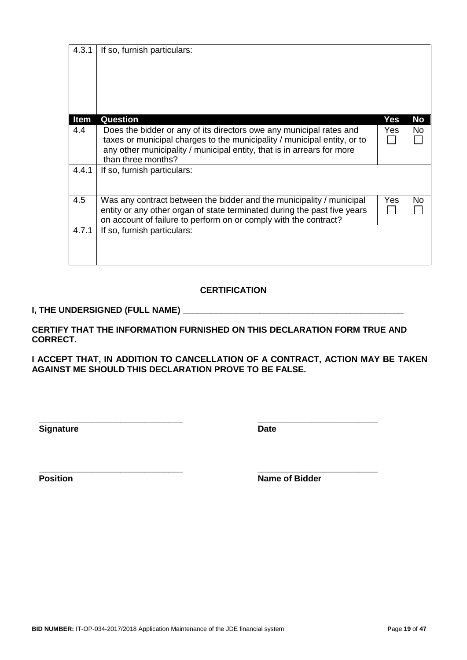| <b>Item</b> | Question                                                                 | Yes | No |
|-------------|--------------------------------------------------------------------------|-----|----|
| 4.4         | Does the bidder or any of its directors owe any municipal rates and      | Yes | No |
|             | taxes or municipal charges to the municipality / municipal entity, or to |     |    |
|             | any other municipality / municipal entity, that is in arrears for more   |     |    |
|             | than three months?                                                       |     |    |
| 4.4.1       | If so, furnish particulars:                                              |     |    |
|             |                                                                          |     |    |
| 4.5         | Was any contract between the bidder and the municipality / municipal     | Yes | No |
|             | entity or any other organ of state terminated during the past five years |     |    |
|             | on account of failure to perform on or comply with the contract?         |     |    |
| 4.7.1       | If so, furnish particulars:                                              |     |    |
|             |                                                                          |     |    |
|             |                                                                          |     |    |
|             |                                                                          |     |    |

#### **CERTIFICATION**

### **I, THE UNDERSIGNED (FULL NAME) \_\_\_\_\_\_\_\_\_\_\_\_\_\_\_\_\_\_\_\_\_\_\_\_\_\_\_\_\_\_\_\_\_\_\_\_\_\_\_\_\_\_\_\_\_\_**

4.3.1 | If so, furnish particulars:

**CERTIFY THAT THE INFORMATION FURNISHED ON THIS DECLARATION FORM TRUE AND CORRECT.**

**I ACCEPT THAT, IN ADDITION TO CANCELLATION OF A CONTRACT, ACTION MAY BE TAKEN AGAINST ME SHOULD THIS DECLARATION PROVE TO BE FALSE.**

**Signature Date** 

**\_\_\_\_\_\_\_\_\_\_\_\_\_\_\_\_\_\_\_\_\_\_\_\_\_\_\_\_\_\_ \_\_\_\_\_\_\_\_\_\_\_\_\_\_\_\_\_\_\_\_\_\_\_\_\_**

**\_\_\_\_\_\_\_\_\_\_\_\_\_\_\_\_\_\_\_\_\_\_\_\_\_\_\_\_\_\_ \_\_\_\_\_\_\_\_\_\_\_\_\_\_\_\_\_\_\_\_\_\_\_\_\_ Position Name of Bidder** 

**BID NUMBER:** IT-OP-034-2017/2018 Application Maintenance of the JDE financial system **P**age **19** of **47**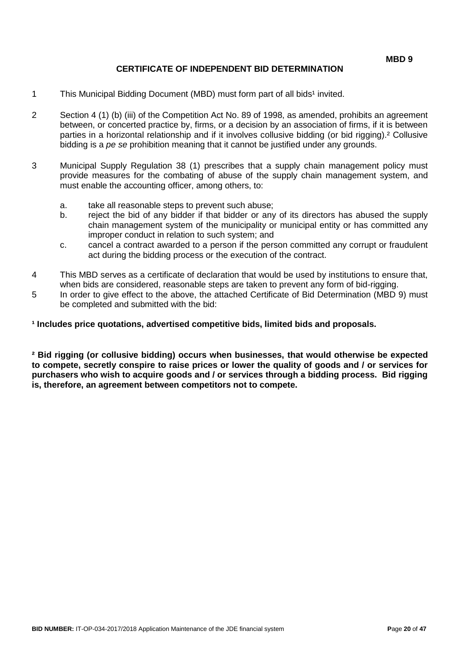### **CERTIFICATE OF INDEPENDENT BID DETERMINATION**

- 1 This Municipal Bidding Document (MBD) must form part of all bids<sup>1</sup> invited.
- 2 Section 4 (1) (b) (iii) of the Competition Act No. 89 of 1998, as amended, prohibits an agreement between, or concerted practice by, firms, or a decision by an association of firms, if it is between parties in a horizontal relationship and if it involves collusive bidding (or bid rigging).² Collusive bidding is a *pe se* prohibition meaning that it cannot be justified under any grounds.
- 3 Municipal Supply Regulation 38 (1) prescribes that a supply chain management policy must provide measures for the combating of abuse of the supply chain management system, and must enable the accounting officer, among others, to:
	- a. take all reasonable steps to prevent such abuse;
	- b. reject the bid of any bidder if that bidder or any of its directors has abused the supply chain management system of the municipality or municipal entity or has committed any improper conduct in relation to such system; and
	- c. cancel a contract awarded to a person if the person committed any corrupt or fraudulent act during the bidding process or the execution of the contract.
- 4 This MBD serves as a certificate of declaration that would be used by institutions to ensure that, when bids are considered, reasonable steps are taken to prevent any form of bid-rigging.
- 5 In order to give effect to the above, the attached Certificate of Bid Determination (MBD 9) must be completed and submitted with the bid:

**¹ Includes price quotations, advertised competitive bids, limited bids and proposals.**

**² Bid rigging (or collusive bidding) occurs when businesses, that would otherwise be expected to compete, secretly conspire to raise prices or lower the quality of goods and / or services for purchasers who wish to acquire goods and / or services through a bidding process. Bid rigging is, therefore, an agreement between competitors not to compete.**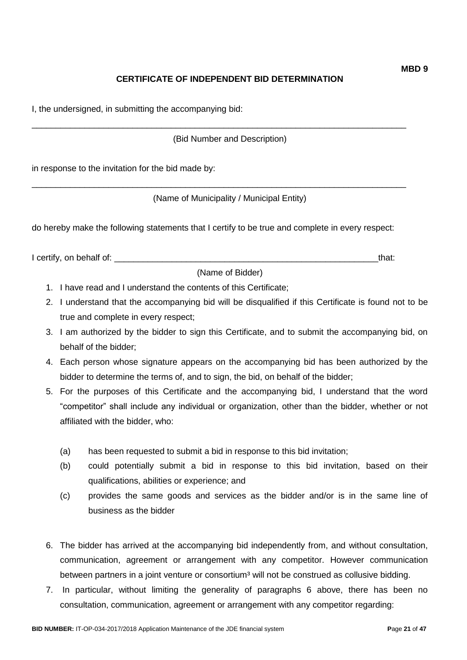# **CERTIFICATE OF INDEPENDENT BID DETERMINATION**

I, the undersigned, in submitting the accompanying bid:

(Bid Number and Description)

\_\_\_\_\_\_\_\_\_\_\_\_\_\_\_\_\_\_\_\_\_\_\_\_\_\_\_\_\_\_\_\_\_\_\_\_\_\_\_\_\_\_\_\_\_\_\_\_\_\_\_\_\_\_\_\_\_\_\_\_\_\_\_\_\_\_\_\_\_\_\_\_\_\_\_\_\_\_

\_\_\_\_\_\_\_\_\_\_\_\_\_\_\_\_\_\_\_\_\_\_\_\_\_\_\_\_\_\_\_\_\_\_\_\_\_\_\_\_\_\_\_\_\_\_\_\_\_\_\_\_\_\_\_\_\_\_\_\_\_\_\_\_\_\_\_\_\_\_\_\_\_\_\_\_\_\_

in response to the invitation for the bid made by:

(Name of Municipality / Municipal Entity)

do hereby make the following statements that I certify to be true and complete in every respect:

I certify, on behalf of: \_\_\_\_\_\_\_\_\_\_\_\_\_\_\_\_\_\_\_\_\_\_\_\_\_\_\_\_\_\_\_\_\_\_\_\_\_\_\_\_\_\_\_\_\_\_\_\_\_\_\_\_\_\_\_that:

(Name of Bidder)

- 1. I have read and I understand the contents of this Certificate;
- 2. I understand that the accompanying bid will be disqualified if this Certificate is found not to be true and complete in every respect;
- 3. I am authorized by the bidder to sign this Certificate, and to submit the accompanying bid, on behalf of the bidder;
- 4. Each person whose signature appears on the accompanying bid has been authorized by the bidder to determine the terms of, and to sign, the bid, on behalf of the bidder;
- 5. For the purposes of this Certificate and the accompanying bid, I understand that the word "competitor" shall include any individual or organization, other than the bidder, whether or not affiliated with the bidder, who:
	- (a) has been requested to submit a bid in response to this bid invitation;
	- (b) could potentially submit a bid in response to this bid invitation, based on their qualifications, abilities or experience; and
	- (c) provides the same goods and services as the bidder and/or is in the same line of business as the bidder
- 6. The bidder has arrived at the accompanying bid independently from, and without consultation, communication, agreement or arrangement with any competitor. However communication between partners in a joint venture or consortium<sup>3</sup> will not be construed as collusive bidding.
- 7. In particular, without limiting the generality of paragraphs 6 above, there has been no consultation, communication, agreement or arrangement with any competitor regarding: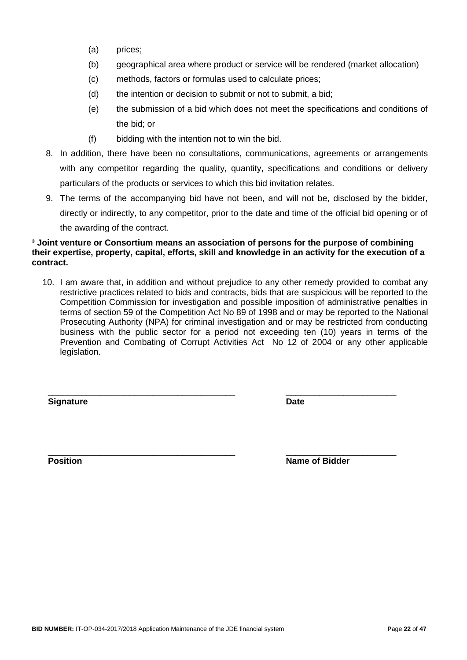- (a) prices;
- (b) geographical area where product or service will be rendered (market allocation)
- (c) methods, factors or formulas used to calculate prices;
- (d) the intention or decision to submit or not to submit, a bid;
- (e) the submission of a bid which does not meet the specifications and conditions of the bid; or
- (f) bidding with the intention not to win the bid.
- 8. In addition, there have been no consultations, communications, agreements or arrangements with any competitor regarding the quality, quantity, specifications and conditions or delivery particulars of the products or services to which this bid invitation relates.
- 9. The terms of the accompanying bid have not been, and will not be, disclosed by the bidder, directly or indirectly, to any competitor, prior to the date and time of the official bid opening or of the awarding of the contract.

#### **³ Joint venture or Consortium means an association of persons for the purpose of combining their expertise, property, capital, efforts, skill and knowledge in an activity for the execution of a contract.**

10. I am aware that, in addition and without prejudice to any other remedy provided to combat any restrictive practices related to bids and contracts, bids that are suspicious will be reported to the Competition Commission for investigation and possible imposition of administrative penalties in terms of section 59 of the Competition Act No 89 of 1998 and or may be reported to the National Prosecuting Authority (NPA) for criminal investigation and or may be restricted from conducting business with the public sector for a period not exceeding ten (10) years in terms of the Prevention and Combating of Corrupt Activities Act No 12 of 2004 or any other applicable legislation.

\_\_\_\_\_\_\_\_\_\_\_\_\_\_\_\_\_\_\_\_\_\_\_\_\_\_\_\_\_\_\_\_\_\_\_\_\_\_\_ \_\_\_\_\_\_\_\_\_\_\_\_\_\_\_\_\_\_\_\_\_\_\_

**Signature Date**

\_\_\_\_\_\_\_\_\_\_\_\_\_\_\_\_\_\_\_\_\_\_\_\_\_\_\_\_\_\_\_\_\_\_\_\_\_\_\_ \_\_\_\_\_\_\_\_\_\_\_\_\_\_\_\_\_\_\_\_\_\_\_ **Position Name of Bidder**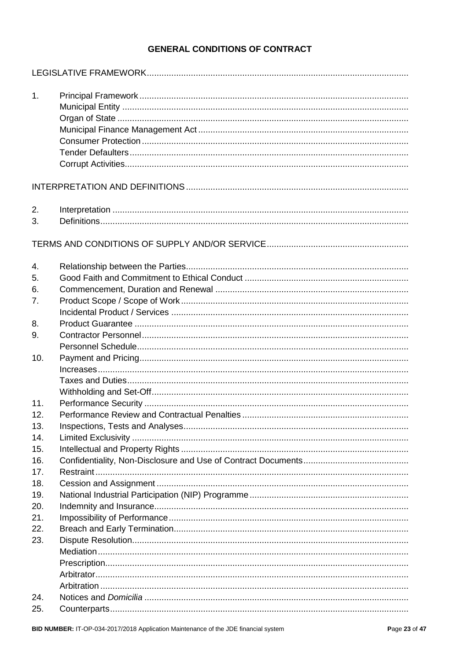# **GENERAL CONDITIONS OF CONTRACT**

| 1.  |  |
|-----|--|
|     |  |
|     |  |
|     |  |
| 2.  |  |
| 3.  |  |
|     |  |
| 4.  |  |
| 5.  |  |
| 6.  |  |
| 7.  |  |
|     |  |
| 8.  |  |
| 9.  |  |
|     |  |
| 10. |  |
|     |  |
|     |  |
| 11. |  |
| 12. |  |
| 13. |  |
| 14. |  |
| 15. |  |
| 16. |  |
| 17. |  |
| 18. |  |
| 19. |  |
| 20. |  |
| 21. |  |
| 22. |  |
| 23. |  |
|     |  |
|     |  |
|     |  |
|     |  |
| 24. |  |
| 25. |  |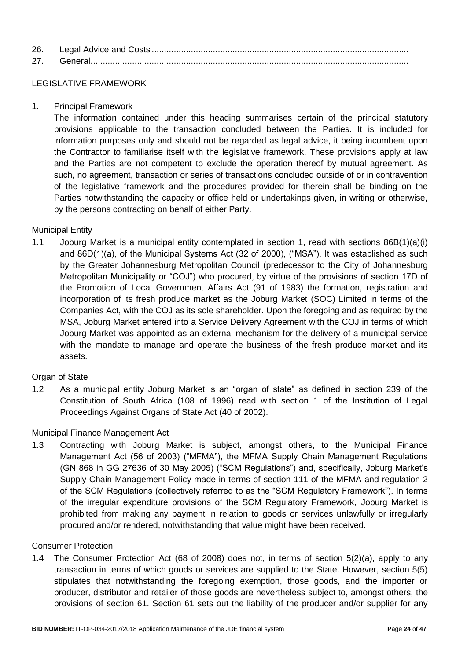| 26. |  |
|-----|--|
| 27  |  |

### LEGISLATIVE FRAMEWORK

1. Principal Framework

The information contained under this heading summarises certain of the principal statutory provisions applicable to the transaction concluded between the Parties. It is included for information purposes only and should not be regarded as legal advice, it being incumbent upon the Contractor to familiarise itself with the legislative framework. These provisions apply at law and the Parties are not competent to exclude the operation thereof by mutual agreement. As such, no agreement, transaction or series of transactions concluded outside of or in contravention of the legislative framework and the procedures provided for therein shall be binding on the Parties notwithstanding the capacity or office held or undertakings given, in writing or otherwise, by the persons contracting on behalf of either Party.

### Municipal Entity

1.1 Joburg Market is a municipal entity contemplated in section 1, read with sections 86B(1)(a)(i) and 86D(1)(a), of the Municipal Systems Act (32 of 2000), ("MSA"). It was established as such by the Greater Johannesburg Metropolitan Council (predecessor to the City of Johannesburg Metropolitan Municipality or "COJ") who procured, by virtue of the provisions of section 17D of the Promotion of Local Government Affairs Act (91 of 1983) the formation, registration and incorporation of its fresh produce market as the Joburg Market (SOC) Limited in terms of the Companies Act, with the COJ as its sole shareholder. Upon the foregoing and as required by the MSA, Joburg Market entered into a Service Delivery Agreement with the COJ in terms of which Joburg Market was appointed as an external mechanism for the delivery of a municipal service with the mandate to manage and operate the business of the fresh produce market and its assets.

#### Organ of State

1.2 As a municipal entity Joburg Market is an "organ of state" as defined in section 239 of the Constitution of South Africa (108 of 1996) read with section 1 of the Institution of Legal Proceedings Against Organs of State Act (40 of 2002).

#### Municipal Finance Management Act

1.3 Contracting with Joburg Market is subject, amongst others, to the Municipal Finance Management Act (56 of 2003) ("MFMA"), the MFMA Supply Chain Management Regulations (GN 868 in GG 27636 of 30 May 2005) ("SCM Regulations") and, specifically, Joburg Market's Supply Chain Management Policy made in terms of section 111 of the MFMA and regulation 2 of the SCM Regulations (collectively referred to as the "SCM Regulatory Framework"). In terms of the irregular expenditure provisions of the SCM Regulatory Framework, Joburg Market is prohibited from making any payment in relation to goods or services unlawfully or irregularly procured and/or rendered, notwithstanding that value might have been received.

#### Consumer Protection

1.4 The Consumer Protection Act (68 of 2008) does not, in terms of section 5(2)(a), apply to any transaction in terms of which goods or services are supplied to the State. However, section 5(5) stipulates that notwithstanding the foregoing exemption, those goods, and the importer or producer, distributor and retailer of those goods are nevertheless subject to, amongst others, the provisions of section 61. Section 61 sets out the liability of the producer and/or supplier for any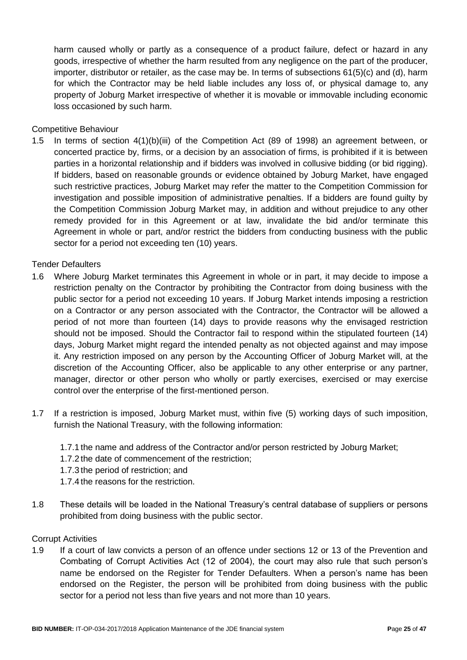harm caused wholly or partly as a consequence of a product failure, defect or hazard in any goods, irrespective of whether the harm resulted from any negligence on the part of the producer, importer, distributor or retailer, as the case may be. In terms of subsections 61(5)(c) and (d), harm for which the Contractor may be held liable includes any loss of, or physical damage to, any property of Joburg Market irrespective of whether it is movable or immovable including economic loss occasioned by such harm.

### Competitive Behaviour

1.5 In terms of section 4(1)(b)(iii) of the Competition Act (89 of 1998) an agreement between, or concerted practice by, firms, or a decision by an association of firms, is prohibited if it is between parties in a horizontal relationship and if bidders was involved in collusive bidding (or bid rigging). If bidders, based on reasonable grounds or evidence obtained by Joburg Market, have engaged such restrictive practices, Joburg Market may refer the matter to the Competition Commission for investigation and possible imposition of administrative penalties. If a bidders are found guilty by the Competition Commission Joburg Market may, in addition and without prejudice to any other remedy provided for in this Agreement or at law, invalidate the bid and/or terminate this Agreement in whole or part, and/or restrict the bidders from conducting business with the public sector for a period not exceeding ten (10) years.

#### Tender Defaulters

- 1.6 Where Joburg Market terminates this Agreement in whole or in part, it may decide to impose a restriction penalty on the Contractor by prohibiting the Contractor from doing business with the public sector for a period not exceeding 10 years. If Joburg Market intends imposing a restriction on a Contractor or any person associated with the Contractor, the Contractor will be allowed a period of not more than fourteen (14) days to provide reasons why the envisaged restriction should not be imposed. Should the Contractor fail to respond within the stipulated fourteen (14) days, Joburg Market might regard the intended penalty as not objected against and may impose it. Any restriction imposed on any person by the Accounting Officer of Joburg Market will, at the discretion of the Accounting Officer, also be applicable to any other enterprise or any partner, manager, director or other person who wholly or partly exercises, exercised or may exercise control over the enterprise of the first-mentioned person.
- 1.7 If a restriction is imposed, Joburg Market must, within five (5) working days of such imposition, furnish the National Treasury, with the following information:
	- 1.7.1 the name and address of the Contractor and/or person restricted by Joburg Market;
	- 1.7.2 the date of commencement of the restriction;
	- 1.7.3 the period of restriction; and
	- 1.7.4 the reasons for the restriction.
- 1.8 These details will be loaded in the National Treasury's central database of suppliers or persons prohibited from doing business with the public sector.

#### Corrupt Activities

1.9 If a court of law convicts a person of an offence under sections 12 or 13 of the Prevention and Combating of Corrupt Activities Act (12 of 2004), the court may also rule that such person's name be endorsed on the Register for Tender Defaulters. When a person's name has been endorsed on the Register, the person will be prohibited from doing business with the public sector for a period not less than five years and not more than 10 years.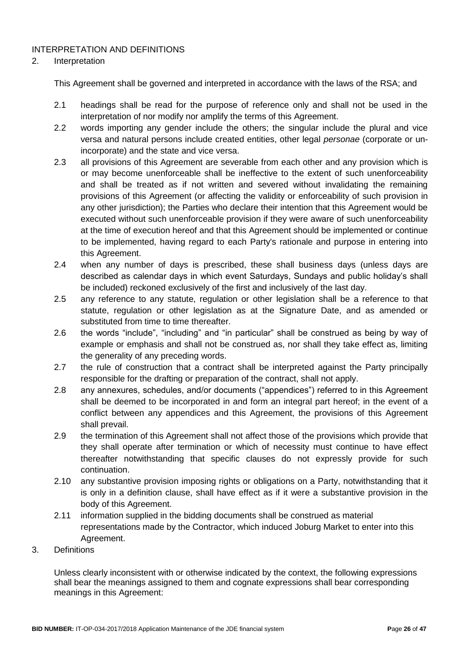### INTERPRETATION AND DEFINITIONS

#### 2. Interpretation

This Agreement shall be governed and interpreted in accordance with the laws of the RSA; and

- 2.1 headings shall be read for the purpose of reference only and shall not be used in the interpretation of nor modify nor amplify the terms of this Agreement.
- 2.2 words importing any gender include the others; the singular include the plural and vice versa and natural persons include created entities, other legal *personae* (corporate or unincorporate) and the state and vice versa.
- 2.3 all provisions of this Agreement are severable from each other and any provision which is or may become unenforceable shall be ineffective to the extent of such unenforceability and shall be treated as if not written and severed without invalidating the remaining provisions of this Agreement (or affecting the validity or enforceability of such provision in any other jurisdiction); the Parties who declare their intention that this Agreement would be executed without such unenforceable provision if they were aware of such unenforceability at the time of execution hereof and that this Agreement should be implemented or continue to be implemented, having regard to each Party's rationale and purpose in entering into this Agreement.
- 2.4 when any number of days is prescribed, these shall business days (unless days are described as calendar days in which event Saturdays, Sundays and public holiday's shall be included) reckoned exclusively of the first and inclusively of the last day.
- 2.5 any reference to any statute, regulation or other legislation shall be a reference to that statute, regulation or other legislation as at the Signature Date, and as amended or substituted from time to time thereafter.
- 2.6 the words "include", "including" and "in particular" shall be construed as being by way of example or emphasis and shall not be construed as, nor shall they take effect as, limiting the generality of any preceding words.
- 2.7 the rule of construction that a contract shall be interpreted against the Party principally responsible for the drafting or preparation of the contract, shall not apply.
- 2.8 any annexures, schedules, and/or documents ("appendices") referred to in this Agreement shall be deemed to be incorporated in and form an integral part hereof; in the event of a conflict between any appendices and this Agreement, the provisions of this Agreement shall prevail.
- 2.9 the termination of this Agreement shall not affect those of the provisions which provide that they shall operate after termination or which of necessity must continue to have effect thereafter notwithstanding that specific clauses do not expressly provide for such continuation.
- 2.10 any substantive provision imposing rights or obligations on a Party, notwithstanding that it is only in a definition clause, shall have effect as if it were a substantive provision in the body of this Agreement.
- 2.11 information supplied in the bidding documents shall be construed as material representations made by the Contractor, which induced Joburg Market to enter into this Agreement.
- 3. Definitions

Unless clearly inconsistent with or otherwise indicated by the context, the following expressions shall bear the meanings assigned to them and cognate expressions shall bear corresponding meanings in this Agreement: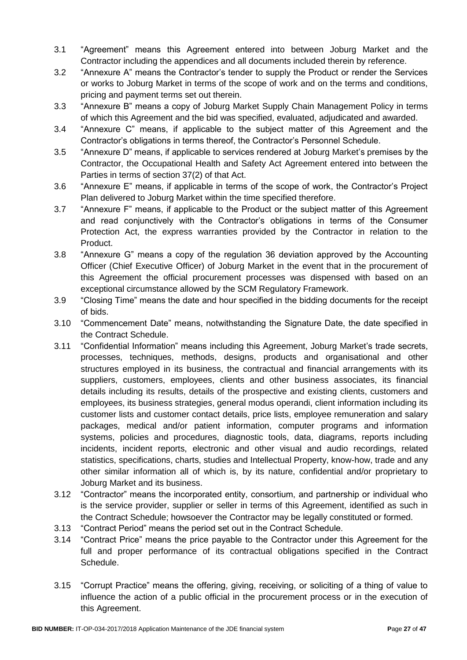- 3.1 "Agreement" means this Agreement entered into between Joburg Market and the Contractor including the appendices and all documents included therein by reference.
- 3.2 "Annexure A" means the Contractor's tender to supply the Product or render the Services or works to Joburg Market in terms of the scope of work and on the terms and conditions, pricing and payment terms set out therein.
- 3.3 "Annexure B" means a copy of Joburg Market Supply Chain Management Policy in terms of which this Agreement and the bid was specified, evaluated, adjudicated and awarded.
- 3.4 "Annexure C" means, if applicable to the subject matter of this Agreement and the Contractor's obligations in terms thereof, the Contractor's Personnel Schedule.
- 3.5 "Annexure D" means, if applicable to services rendered at Joburg Market's premises by the Contractor, the Occupational Health and Safety Act Agreement entered into between the Parties in terms of section 37(2) of that Act.
- 3.6 "Annexure E" means, if applicable in terms of the scope of work, the Contractor's Project Plan delivered to Joburg Market within the time specified therefore.
- 3.7 "Annexure F" means, if applicable to the Product or the subject matter of this Agreement and read conjunctively with the Contractor's obligations in terms of the Consumer Protection Act, the express warranties provided by the Contractor in relation to the Product.
- 3.8 "Annexure G" means a copy of the regulation 36 deviation approved by the Accounting Officer (Chief Executive Officer) of Joburg Market in the event that in the procurement of this Agreement the official procurement processes was dispensed with based on an exceptional circumstance allowed by the SCM Regulatory Framework.
- 3.9 "Closing Time" means the date and hour specified in the bidding documents for the receipt of bids.
- 3.10 "Commencement Date" means, notwithstanding the Signature Date, the date specified in the Contract Schedule.
- 3.11 "Confidential Information" means including this Agreement, Joburg Market's trade secrets, processes, techniques, methods, designs, products and organisational and other structures employed in its business, the contractual and financial arrangements with its suppliers, customers, employees, clients and other business associates, its financial details including its results, details of the prospective and existing clients, customers and employees, its business strategies, general modus operandi, client information including its customer lists and customer contact details, price lists, employee remuneration and salary packages, medical and/or patient information, computer programs and information systems, policies and procedures, diagnostic tools, data, diagrams, reports including incidents, incident reports, electronic and other visual and audio recordings, related statistics, specifications, charts, studies and Intellectual Property, know-how, trade and any other similar information all of which is, by its nature, confidential and/or proprietary to Joburg Market and its business.
- 3.12 "Contractor" means the incorporated entity, consortium, and partnership or individual who is the service provider, supplier or seller in terms of this Agreement, identified as such in the Contract Schedule; howsoever the Contractor may be legally constituted or formed.
- 3.13 "Contract Period" means the period set out in the Contract Schedule.
- 3.14 "Contract Price" means the price payable to the Contractor under this Agreement for the full and proper performance of its contractual obligations specified in the Contract Schedule.
- 3.15 "Corrupt Practice" means the offering, giving, receiving, or soliciting of a thing of value to influence the action of a public official in the procurement process or in the execution of this Agreement.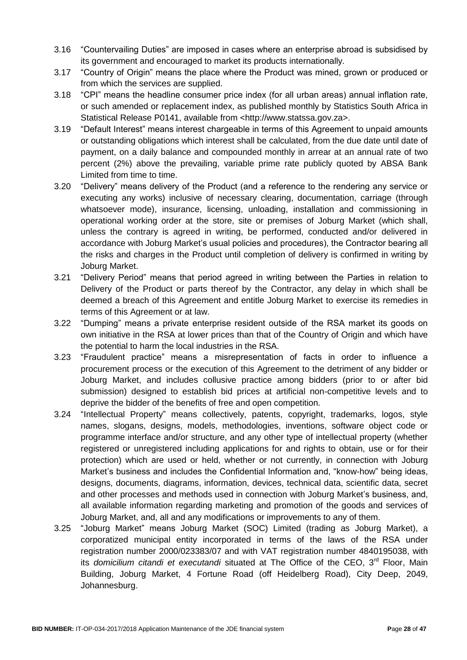- 3.16 "Countervailing Duties" are imposed in cases where an enterprise abroad is subsidised by its government and encouraged to market its products internationally.
- 3.17 "Country of Origin" means the place where the Product was mined, grown or produced or from which the services are supplied.
- 3.18 "CPI" means the headline consumer price index (for all urban areas) annual inflation rate, or such amended or replacement index, as published monthly by Statistics South Africa in Statistical Release P0141, available from <http://www.statssa.gov.za>.
- 3.19 "Default Interest" means interest chargeable in terms of this Agreement to unpaid amounts or outstanding obligations which interest shall be calculated, from the due date until date of payment, on a daily balance and compounded monthly in arrear at an annual rate of two percent (2%) above the prevailing, variable prime rate publicly quoted by ABSA Bank Limited from time to time.
- 3.20 "Delivery" means delivery of the Product (and a reference to the rendering any service or executing any works) inclusive of necessary clearing, documentation, carriage (through whatsoever mode), insurance, licensing, unloading, installation and commissioning in operational working order at the store, site or premises of Joburg Market (which shall, unless the contrary is agreed in writing, be performed, conducted and/or delivered in accordance with Joburg Market's usual policies and procedures), the Contractor bearing all the risks and charges in the Product until completion of delivery is confirmed in writing by Joburg Market.
- 3.21 "Delivery Period" means that period agreed in writing between the Parties in relation to Delivery of the Product or parts thereof by the Contractor, any delay in which shall be deemed a breach of this Agreement and entitle Joburg Market to exercise its remedies in terms of this Agreement or at law.
- 3.22 "Dumping" means a private enterprise resident outside of the RSA market its goods on own initiative in the RSA at lower prices than that of the Country of Origin and which have the potential to harm the local industries in the RSA.
- 3.23 "Fraudulent practice" means a misrepresentation of facts in order to influence a procurement process or the execution of this Agreement to the detriment of any bidder or Joburg Market, and includes collusive practice among bidders (prior to or after bid submission) designed to establish bid prices at artificial non-competitive levels and to deprive the bidder of the benefits of free and open competition.
- 3.24 "Intellectual Property" means collectively, patents, copyright, trademarks, logos, style names, slogans, designs, models, methodologies, inventions, software object code or programme interface and/or structure, and any other type of intellectual property (whether registered or unregistered including applications for and rights to obtain, use or for their protection) which are used or held, whether or not currently, in connection with Joburg Market's business and includes the Confidential Information and, "know-how" being ideas, designs, documents, diagrams, information, devices, technical data, scientific data, secret and other processes and methods used in connection with Joburg Market's business, and, all available information regarding marketing and promotion of the goods and services of Joburg Market, and, all and any modifications or improvements to any of them.
- 3.25 "Joburg Market" means Joburg Market (SOC) Limited (trading as Joburg Market), a corporatized municipal entity incorporated in terms of the laws of the RSA under registration number 2000/023383/07 and with VAT registration number 4840195038, with its *domicilium citandi et executandi* situated at The Office of the CEO, 3<sup>rd</sup> Floor, Main Building, Joburg Market, 4 Fortune Road (off Heidelberg Road), City Deep, 2049, Johannesburg.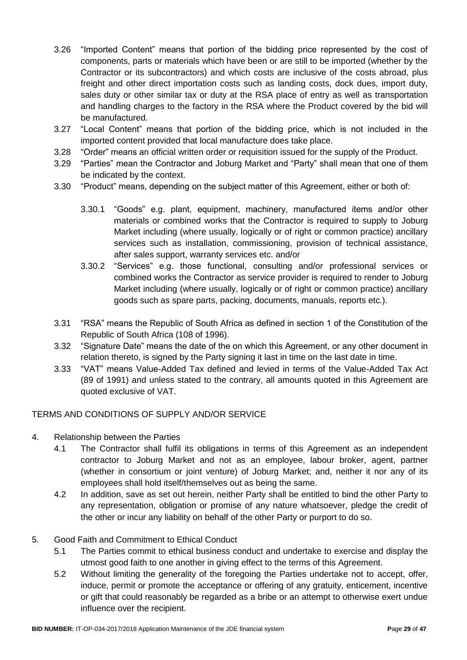- 3.26 "Imported Content" means that portion of the bidding price represented by the cost of components, parts or materials which have been or are still to be imported (whether by the Contractor or its subcontractors) and which costs are inclusive of the costs abroad, plus freight and other direct importation costs such as landing costs, dock dues, import duty, sales duty or other similar tax or duty at the RSA place of entry as well as transportation and handling charges to the factory in the RSA where the Product covered by the bid will be manufactured.
- 3.27 "Local Content" means that portion of the bidding price, which is not included in the imported content provided that local manufacture does take place.
- 3.28 "Order" means an official written order or requisition issued for the supply of the Product.
- 3.29 "Parties" mean the Contractor and Joburg Market and "Party" shall mean that one of them be indicated by the context.
- 3.30 "Product" means, depending on the subject matter of this Agreement, either or both of:
	- 3.30.1 "Goods" e.g. plant, equipment, machinery, manufactured items and/or other materials or combined works that the Contractor is required to supply to Joburg Market including (where usually, logically or of right or common practice) ancillary services such as installation, commissioning, provision of technical assistance, after sales support, warranty services etc. and/or
	- 3.30.2 "Services" e.g. those functional, consulting and/or professional services or combined works the Contractor as service provider is required to render to Joburg Market including (where usually, logically or of right or common practice) ancillary goods such as spare parts, packing, documents, manuals, reports etc.).
- 3.31 "RSA" means the Republic of South Africa as defined in section 1 of the Constitution of the Republic of South Africa (108 of 1996).
- 3.32 "Signature Date" means the date of the on which this Agreement, or any other document in relation thereto, is signed by the Party signing it last in time on the last date in time.
- 3.33 "VAT" means Value-Added Tax defined and levied in terms of the Value-Added Tax Act (89 of 1991) and unless stated to the contrary, all amounts quoted in this Agreement are quoted exclusive of VAT.

#### TERMS AND CONDITIONS OF SUPPLY AND/OR SERVICE

- 4. Relationship between the Parties
	- 4.1 The Contractor shall fulfil its obligations in terms of this Agreement as an independent contractor to Joburg Market and not as an employee, labour broker, agent, partner (whether in consortium or joint venture) of Joburg Market; and, neither it nor any of its employees shall hold itself/themselves out as being the same.
	- 4.2 In addition, save as set out herein, neither Party shall be entitled to bind the other Party to any representation, obligation or promise of any nature whatsoever, pledge the credit of the other or incur any liability on behalf of the other Party or purport to do so.

#### 5. Good Faith and Commitment to Ethical Conduct

- 5.1 The Parties commit to ethical business conduct and undertake to exercise and display the utmost good faith to one another in giving effect to the terms of this Agreement.
- 5.2 Without limiting the generality of the foregoing the Parties undertake not to accept, offer, induce, permit or promote the acceptance or offering of any gratuity, enticement, incentive or gift that could reasonably be regarded as a bribe or an attempt to otherwise exert undue influence over the recipient.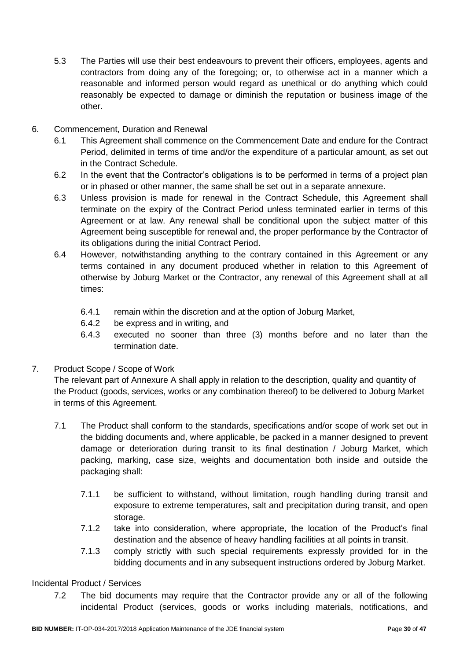- 5.3 The Parties will use their best endeavours to prevent their officers, employees, agents and contractors from doing any of the foregoing; or, to otherwise act in a manner which a reasonable and informed person would regard as unethical or do anything which could reasonably be expected to damage or diminish the reputation or business image of the other.
- 6. Commencement, Duration and Renewal
	- 6.1 This Agreement shall commence on the Commencement Date and endure for the Contract Period, delimited in terms of time and/or the expenditure of a particular amount, as set out in the Contract Schedule.
	- 6.2 In the event that the Contractor's obligations is to be performed in terms of a project plan or in phased or other manner, the same shall be set out in a separate annexure.
	- 6.3 Unless provision is made for renewal in the Contract Schedule, this Agreement shall terminate on the expiry of the Contract Period unless terminated earlier in terms of this Agreement or at law. Any renewal shall be conditional upon the subject matter of this Agreement being susceptible for renewal and, the proper performance by the Contractor of its obligations during the initial Contract Period.
	- 6.4 However, notwithstanding anything to the contrary contained in this Agreement or any terms contained in any document produced whether in relation to this Agreement of otherwise by Joburg Market or the Contractor, any renewal of this Agreement shall at all times:
		- 6.4.1 remain within the discretion and at the option of Joburg Market,
		- 6.4.2 be express and in writing, and
		- 6.4.3 executed no sooner than three (3) months before and no later than the termination date.
- 7. Product Scope / Scope of Work

The relevant part of Annexure A shall apply in relation to the description, quality and quantity of the Product (goods, services, works or any combination thereof) to be delivered to Joburg Market in terms of this Agreement.

- 7.1 The Product shall conform to the standards, specifications and/or scope of work set out in the bidding documents and, where applicable, be packed in a manner designed to prevent damage or deterioration during transit to its final destination / Joburg Market, which packing, marking, case size, weights and documentation both inside and outside the packaging shall:
	- 7.1.1 be sufficient to withstand, without limitation, rough handling during transit and exposure to extreme temperatures, salt and precipitation during transit, and open storage.
	- 7.1.2 take into consideration, where appropriate, the location of the Product's final destination and the absence of heavy handling facilities at all points in transit.
	- 7.1.3 comply strictly with such special requirements expressly provided for in the bidding documents and in any subsequent instructions ordered by Joburg Market.

### Incidental Product / Services

7.2 The bid documents may require that the Contractor provide any or all of the following incidental Product (services, goods or works including materials, notifications, and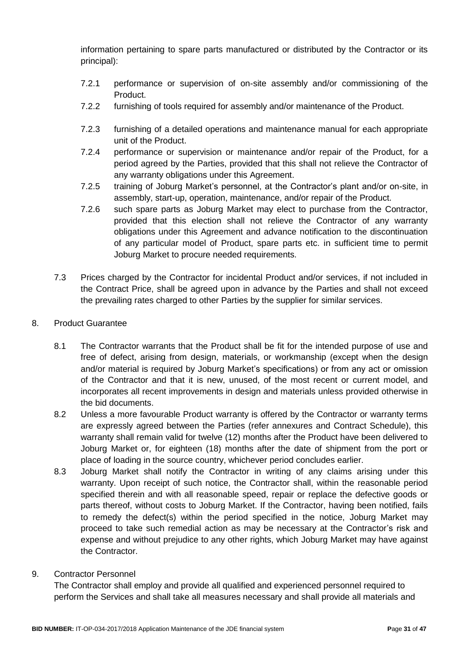information pertaining to spare parts manufactured or distributed by the Contractor or its principal):

- 7.2.1 performance or supervision of on-site assembly and/or commissioning of the Product.
- 7.2.2 furnishing of tools required for assembly and/or maintenance of the Product.
- 7.2.3 furnishing of a detailed operations and maintenance manual for each appropriate unit of the Product.
- 7.2.4 performance or supervision or maintenance and/or repair of the Product, for a period agreed by the Parties, provided that this shall not relieve the Contractor of any warranty obligations under this Agreement.
- 7.2.5 training of Joburg Market's personnel, at the Contractor's plant and/or on-site, in assembly, start-up, operation, maintenance, and/or repair of the Product.
- 7.2.6 such spare parts as Joburg Market may elect to purchase from the Contractor, provided that this election shall not relieve the Contractor of any warranty obligations under this Agreement and advance notification to the discontinuation of any particular model of Product, spare parts etc. in sufficient time to permit Joburg Market to procure needed requirements.
- 7.3 Prices charged by the Contractor for incidental Product and/or services, if not included in the Contract Price, shall be agreed upon in advance by the Parties and shall not exceed the prevailing rates charged to other Parties by the supplier for similar services.
- 8. Product Guarantee
	- 8.1 The Contractor warrants that the Product shall be fit for the intended purpose of use and free of defect, arising from design, materials, or workmanship (except when the design and/or material is required by Joburg Market's specifications) or from any act or omission of the Contractor and that it is new, unused, of the most recent or current model, and incorporates all recent improvements in design and materials unless provided otherwise in the bid documents.
	- 8.2 Unless a more favourable Product warranty is offered by the Contractor or warranty terms are expressly agreed between the Parties (refer annexures and Contract Schedule), this warranty shall remain valid for twelve (12) months after the Product have been delivered to Joburg Market or, for eighteen (18) months after the date of shipment from the port or place of loading in the source country, whichever period concludes earlier.
	- 8.3 Joburg Market shall notify the Contractor in writing of any claims arising under this warranty. Upon receipt of such notice, the Contractor shall, within the reasonable period specified therein and with all reasonable speed, repair or replace the defective goods or parts thereof, without costs to Joburg Market. If the Contractor, having been notified, fails to remedy the defect(s) within the period specified in the notice, Joburg Market may proceed to take such remedial action as may be necessary at the Contractor's risk and expense and without prejudice to any other rights, which Joburg Market may have against the Contractor.
- 9. Contractor Personnel

The Contractor shall employ and provide all qualified and experienced personnel required to perform the Services and shall take all measures necessary and shall provide all materials and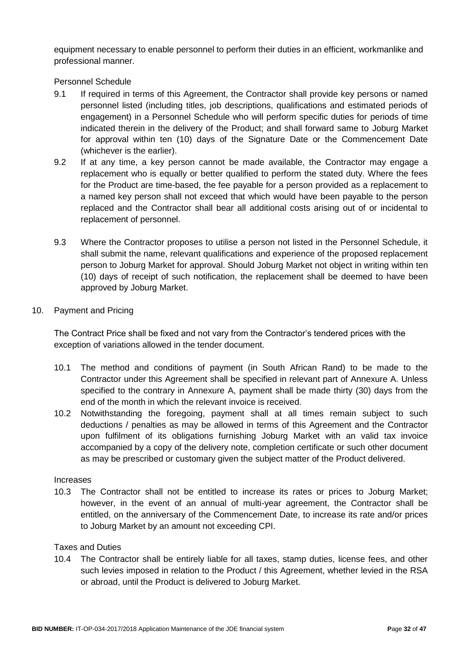equipment necessary to enable personnel to perform their duties in an efficient, workmanlike and professional manner.

Personnel Schedule

- 9.1 If required in terms of this Agreement, the Contractor shall provide key persons or named personnel listed (including titles, job descriptions, qualifications and estimated periods of engagement) in a Personnel Schedule who will perform specific duties for periods of time indicated therein in the delivery of the Product; and shall forward same to Joburg Market for approval within ten (10) days of the Signature Date or the Commencement Date (whichever is the earlier).
- 9.2 If at any time, a key person cannot be made available, the Contractor may engage a replacement who is equally or better qualified to perform the stated duty. Where the fees for the Product are time-based, the fee payable for a person provided as a replacement to a named key person shall not exceed that which would have been payable to the person replaced and the Contractor shall bear all additional costs arising out of or incidental to replacement of personnel.
- 9.3 Where the Contractor proposes to utilise a person not listed in the Personnel Schedule, it shall submit the name, relevant qualifications and experience of the proposed replacement person to Joburg Market for approval. Should Joburg Market not object in writing within ten (10) days of receipt of such notification, the replacement shall be deemed to have been approved by Joburg Market.
- 10. Payment and Pricing

The Contract Price shall be fixed and not vary from the Contractor's tendered prices with the exception of variations allowed in the tender document.

- 10.1 The method and conditions of payment (in South African Rand) to be made to the Contractor under this Agreement shall be specified in relevant part of Annexure A. Unless specified to the contrary in Annexure A, payment shall be made thirty (30) days from the end of the month in which the relevant invoice is received.
- 10.2 Notwithstanding the foregoing, payment shall at all times remain subject to such deductions / penalties as may be allowed in terms of this Agreement and the Contractor upon fulfilment of its obligations furnishing Joburg Market with an valid tax invoice accompanied by a copy of the delivery note, completion certificate or such other document as may be prescribed or customary given the subject matter of the Product delivered.

#### Increases

10.3 The Contractor shall not be entitled to increase its rates or prices to Joburg Market; however, in the event of an annual of multi-year agreement, the Contractor shall be entitled, on the anniversary of the Commencement Date, to increase its rate and/or prices to Joburg Market by an amount not exceeding CPI.

#### Taxes and Duties

10.4 The Contractor shall be entirely liable for all taxes, stamp duties, license fees, and other such levies imposed in relation to the Product / this Agreement, whether levied in the RSA or abroad, until the Product is delivered to Joburg Market.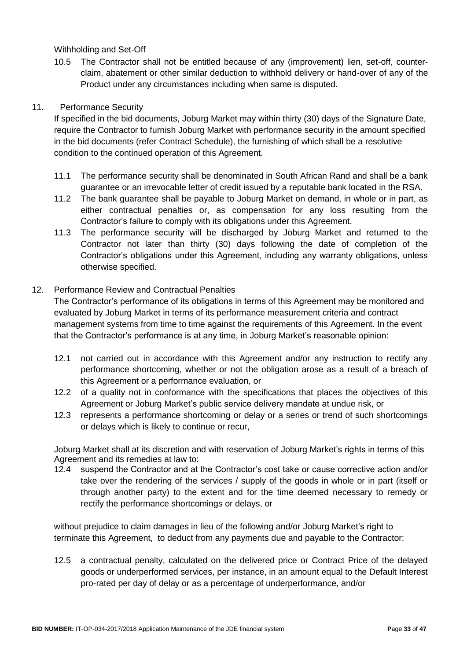Withholding and Set-Off

10.5 The Contractor shall not be entitled because of any (improvement) lien, set-off, counterclaim, abatement or other similar deduction to withhold delivery or hand-over of any of the Product under any circumstances including when same is disputed.

### 11. Performance Security

If specified in the bid documents, Joburg Market may within thirty (30) days of the Signature Date, require the Contractor to furnish Joburg Market with performance security in the amount specified in the bid documents (refer Contract Schedule), the furnishing of which shall be a resolutive condition to the continued operation of this Agreement.

- 11.1 The performance security shall be denominated in South African Rand and shall be a bank guarantee or an irrevocable letter of credit issued by a reputable bank located in the RSA.
- 11.2 The bank guarantee shall be payable to Joburg Market on demand, in whole or in part, as either contractual penalties or, as compensation for any loss resulting from the Contractor's failure to comply with its obligations under this Agreement.
- 11.3 The performance security will be discharged by Joburg Market and returned to the Contractor not later than thirty (30) days following the date of completion of the Contractor's obligations under this Agreement, including any warranty obligations, unless otherwise specified.

### 12. Performance Review and Contractual Penalties

The Contractor's performance of its obligations in terms of this Agreement may be monitored and evaluated by Joburg Market in terms of its performance measurement criteria and contract management systems from time to time against the requirements of this Agreement. In the event that the Contractor's performance is at any time, in Joburg Market's reasonable opinion:

- 12.1 not carried out in accordance with this Agreement and/or any instruction to rectify any performance shortcoming, whether or not the obligation arose as a result of a breach of this Agreement or a performance evaluation, or
- 12.2 of a quality not in conformance with the specifications that places the objectives of this Agreement or Joburg Market's public service delivery mandate at undue risk, or
- 12.3 represents a performance shortcoming or delay or a series or trend of such shortcomings or delays which is likely to continue or recur,

Joburg Market shall at its discretion and with reservation of Joburg Market's rights in terms of this Agreement and its remedies at law to:

12.4 suspend the Contractor and at the Contractor's cost take or cause corrective action and/or take over the rendering of the services / supply of the goods in whole or in part (itself or through another party) to the extent and for the time deemed necessary to remedy or rectify the performance shortcomings or delays, or

without prejudice to claim damages in lieu of the following and/or Joburg Market's right to terminate this Agreement, to deduct from any payments due and payable to the Contractor:

12.5 a contractual penalty, calculated on the delivered price or Contract Price of the delayed goods or underperformed services, per instance, in an amount equal to the Default Interest pro-rated per day of delay or as a percentage of underperformance, and/or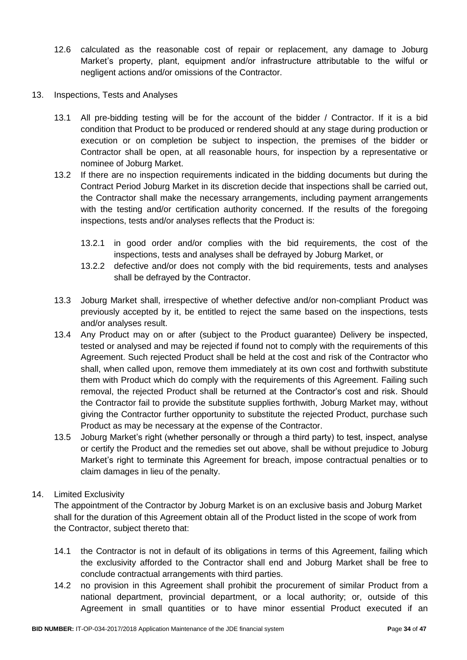- 12.6 calculated as the reasonable cost of repair or replacement, any damage to Joburg Market's property, plant, equipment and/or infrastructure attributable to the wilful or negligent actions and/or omissions of the Contractor.
- 13. Inspections, Tests and Analyses
	- 13.1 All pre-bidding testing will be for the account of the bidder / Contractor. If it is a bid condition that Product to be produced or rendered should at any stage during production or execution or on completion be subject to inspection, the premises of the bidder or Contractor shall be open, at all reasonable hours, for inspection by a representative or nominee of Joburg Market.
	- 13.2 If there are no inspection requirements indicated in the bidding documents but during the Contract Period Joburg Market in its discretion decide that inspections shall be carried out, the Contractor shall make the necessary arrangements, including payment arrangements with the testing and/or certification authority concerned. If the results of the foregoing inspections, tests and/or analyses reflects that the Product is:
		- 13.2.1 in good order and/or complies with the bid requirements, the cost of the inspections, tests and analyses shall be defrayed by Joburg Market, or
		- 13.2.2 defective and/or does not comply with the bid requirements, tests and analyses shall be defrayed by the Contractor.
	- 13.3 Joburg Market shall, irrespective of whether defective and/or non-compliant Product was previously accepted by it, be entitled to reject the same based on the inspections, tests and/or analyses result.
	- 13.4 Any Product may on or after (subject to the Product guarantee) Delivery be inspected, tested or analysed and may be rejected if found not to comply with the requirements of this Agreement. Such rejected Product shall be held at the cost and risk of the Contractor who shall, when called upon, remove them immediately at its own cost and forthwith substitute them with Product which do comply with the requirements of this Agreement. Failing such removal, the rejected Product shall be returned at the Contractor's cost and risk. Should the Contractor fail to provide the substitute supplies forthwith, Joburg Market may, without giving the Contractor further opportunity to substitute the rejected Product, purchase such Product as may be necessary at the expense of the Contractor.
	- 13.5 Joburg Market's right (whether personally or through a third party) to test, inspect, analyse or certify the Product and the remedies set out above, shall be without prejudice to Joburg Market's right to terminate this Agreement for breach, impose contractual penalties or to claim damages in lieu of the penalty.

### 14. Limited Exclusivity

The appointment of the Contractor by Joburg Market is on an exclusive basis and Joburg Market shall for the duration of this Agreement obtain all of the Product listed in the scope of work from the Contractor, subject thereto that:

- 14.1 the Contractor is not in default of its obligations in terms of this Agreement, failing which the exclusivity afforded to the Contractor shall end and Joburg Market shall be free to conclude contractual arrangements with third parties.
- 14.2 no provision in this Agreement shall prohibit the procurement of similar Product from a national department, provincial department, or a local authority; or, outside of this Agreement in small quantities or to have minor essential Product executed if an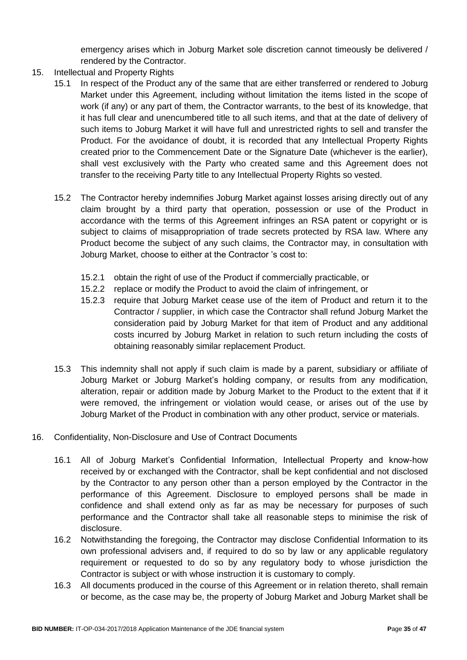emergency arises which in Joburg Market sole discretion cannot timeously be delivered / rendered by the Contractor.

- 15. Intellectual and Property Rights
	- 15.1 In respect of the Product any of the same that are either transferred or rendered to Joburg Market under this Agreement, including without limitation the items listed in the scope of work (if any) or any part of them, the Contractor warrants, to the best of its knowledge, that it has full clear and unencumbered title to all such items, and that at the date of delivery of such items to Joburg Market it will have full and unrestricted rights to sell and transfer the Product. For the avoidance of doubt, it is recorded that any Intellectual Property Rights created prior to the Commencement Date or the Signature Date (whichever is the earlier), shall vest exclusively with the Party who created same and this Agreement does not transfer to the receiving Party title to any Intellectual Property Rights so vested.
	- 15.2 The Contractor hereby indemnifies Joburg Market against losses arising directly out of any claim brought by a third party that operation, possession or use of the Product in accordance with the terms of this Agreement infringes an RSA patent or copyright or is subject to claims of misappropriation of trade secrets protected by RSA law. Where any Product become the subject of any such claims, the Contractor may, in consultation with Joburg Market, choose to either at the Contractor 's cost to:
		- 15.2.1 obtain the right of use of the Product if commercially practicable, or
		- 15.2.2 replace or modify the Product to avoid the claim of infringement, or
		- 15.2.3 require that Joburg Market cease use of the item of Product and return it to the Contractor / supplier, in which case the Contractor shall refund Joburg Market the consideration paid by Joburg Market for that item of Product and any additional costs incurred by Joburg Market in relation to such return including the costs of obtaining reasonably similar replacement Product.
	- 15.3 This indemnity shall not apply if such claim is made by a parent, subsidiary or affiliate of Joburg Market or Joburg Market's holding company, or results from any modification, alteration, repair or addition made by Joburg Market to the Product to the extent that if it were removed, the infringement or violation would cease, or arises out of the use by Joburg Market of the Product in combination with any other product, service or materials.
- 16. Confidentiality, Non-Disclosure and Use of Contract Documents
	- 16.1 All of Joburg Market's Confidential Information, Intellectual Property and know-how received by or exchanged with the Contractor, shall be kept confidential and not disclosed by the Contractor to any person other than a person employed by the Contractor in the performance of this Agreement. Disclosure to employed persons shall be made in confidence and shall extend only as far as may be necessary for purposes of such performance and the Contractor shall take all reasonable steps to minimise the risk of disclosure.
	- 16.2 Notwithstanding the foregoing, the Contractor may disclose Confidential Information to its own professional advisers and, if required to do so by law or any applicable regulatory requirement or requested to do so by any regulatory body to whose jurisdiction the Contractor is subject or with whose instruction it is customary to comply.
	- 16.3 All documents produced in the course of this Agreement or in relation thereto, shall remain or become, as the case may be, the property of Joburg Market and Joburg Market shall be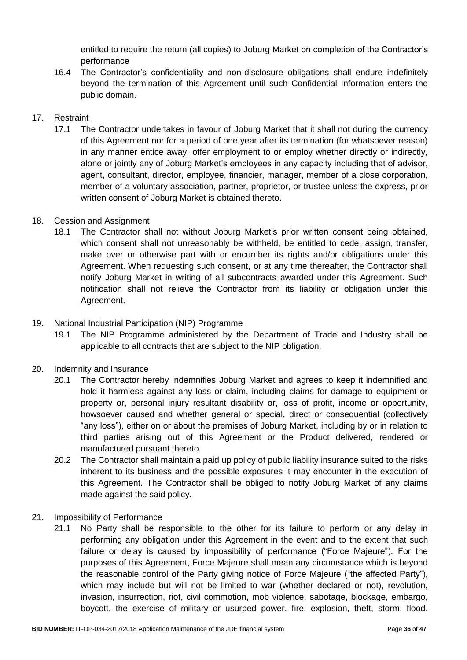entitled to require the return (all copies) to Joburg Market on completion of the Contractor's performance

16.4 The Contractor's confidentiality and non-disclosure obligations shall endure indefinitely beyond the termination of this Agreement until such Confidential Information enters the public domain.

# 17. Restraint

17.1 The Contractor undertakes in favour of Joburg Market that it shall not during the currency of this Agreement nor for a period of one year after its termination (for whatsoever reason) in any manner entice away, offer employment to or employ whether directly or indirectly, alone or jointly any of Joburg Market's employees in any capacity including that of advisor, agent, consultant, director, employee, financier, manager, member of a close corporation, member of a voluntary association, partner, proprietor, or trustee unless the express, prior written consent of Joburg Market is obtained thereto.

### 18. Cession and Assignment

18.1 The Contractor shall not without Joburg Market's prior written consent being obtained, which consent shall not unreasonably be withheld, be entitled to cede, assign, transfer, make over or otherwise part with or encumber its rights and/or obligations under this Agreement. When requesting such consent, or at any time thereafter, the Contractor shall notify Joburg Market in writing of all subcontracts awarded under this Agreement. Such notification shall not relieve the Contractor from its liability or obligation under this Agreement.

### 19. National Industrial Participation (NIP) Programme

19.1 The NIP Programme administered by the Department of Trade and Industry shall be applicable to all contracts that are subject to the NIP obligation.

### 20. Indemnity and Insurance

- 20.1 The Contractor hereby indemnifies Joburg Market and agrees to keep it indemnified and hold it harmless against any loss or claim, including claims for damage to equipment or property or, personal injury resultant disability or, loss of profit, income or opportunity, howsoever caused and whether general or special, direct or consequential (collectively "any loss"), either on or about the premises of Joburg Market, including by or in relation to third parties arising out of this Agreement or the Product delivered, rendered or manufactured pursuant thereto.
- 20.2 The Contractor shall maintain a paid up policy of public liability insurance suited to the risks inherent to its business and the possible exposures it may encounter in the execution of this Agreement. The Contractor shall be obliged to notify Joburg Market of any claims made against the said policy.
- 21. Impossibility of Performance
	- 21.1 No Party shall be responsible to the other for its failure to perform or any delay in performing any obligation under this Agreement in the event and to the extent that such failure or delay is caused by impossibility of performance ("Force Majeure"). For the purposes of this Agreement, Force Majeure shall mean any circumstance which is beyond the reasonable control of the Party giving notice of Force Majeure ("the affected Party"), which may include but will not be limited to war (whether declared or not), revolution, invasion, insurrection, riot, civil commotion, mob violence, sabotage, blockage, embargo, boycott, the exercise of military or usurped power, fire, explosion, theft, storm, flood,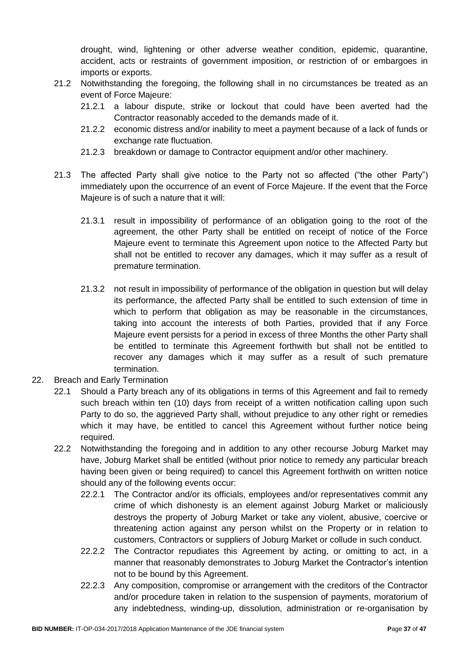drought, wind, lightening or other adverse weather condition, epidemic, quarantine, accident, acts or restraints of government imposition, or restriction of or embargoes in imports or exports.

- 21.2 Notwithstanding the foregoing, the following shall in no circumstances be treated as an event of Force Majeure:
	- 21.2.1 a labour dispute, strike or lockout that could have been averted had the Contractor reasonably acceded to the demands made of it.
	- 21.2.2 economic distress and/or inability to meet a payment because of a lack of funds or exchange rate fluctuation.
	- 21.2.3 breakdown or damage to Contractor equipment and/or other machinery.
- 21.3 The affected Party shall give notice to the Party not so affected ("the other Party") immediately upon the occurrence of an event of Force Majeure. If the event that the Force Majeure is of such a nature that it will:
	- 21.3.1 result in impossibility of performance of an obligation going to the root of the agreement, the other Party shall be entitled on receipt of notice of the Force Majeure event to terminate this Agreement upon notice to the Affected Party but shall not be entitled to recover any damages, which it may suffer as a result of premature termination.
	- 21.3.2 not result in impossibility of performance of the obligation in question but will delay its performance, the affected Party shall be entitled to such extension of time in which to perform that obligation as may be reasonable in the circumstances, taking into account the interests of both Parties, provided that if any Force Majeure event persists for a period in excess of three Months the other Party shall be entitled to terminate this Agreement forthwith but shall not be entitled to recover any damages which it may suffer as a result of such premature termination.
- 22. Breach and Early Termination
	- 22.1 Should a Party breach any of its obligations in terms of this Agreement and fail to remedy such breach within ten (10) days from receipt of a written notification calling upon such Party to do so, the aggrieved Party shall, without prejudice to any other right or remedies which it may have, be entitled to cancel this Agreement without further notice being required.
	- 22.2 Notwithstanding the foregoing and in addition to any other recourse Joburg Market may have, Joburg Market shall be entitled (without prior notice to remedy any particular breach having been given or being required) to cancel this Agreement forthwith on written notice should any of the following events occur:
		- 22.2.1 The Contractor and/or its officials, employees and/or representatives commit any crime of which dishonesty is an element against Joburg Market or maliciously destroys the property of Joburg Market or take any violent, abusive, coercive or threatening action against any person whilst on the Property or in relation to customers, Contractors or suppliers of Joburg Market or collude in such conduct.
		- 22.2.2 The Contractor repudiates this Agreement by acting, or omitting to act, in a manner that reasonably demonstrates to Joburg Market the Contractor's intention not to be bound by this Agreement.
		- 22.2.3 Any composition, compromise or arrangement with the creditors of the Contractor and/or procedure taken in relation to the suspension of payments, moratorium of any indebtedness, winding-up, dissolution, administration or re-organisation by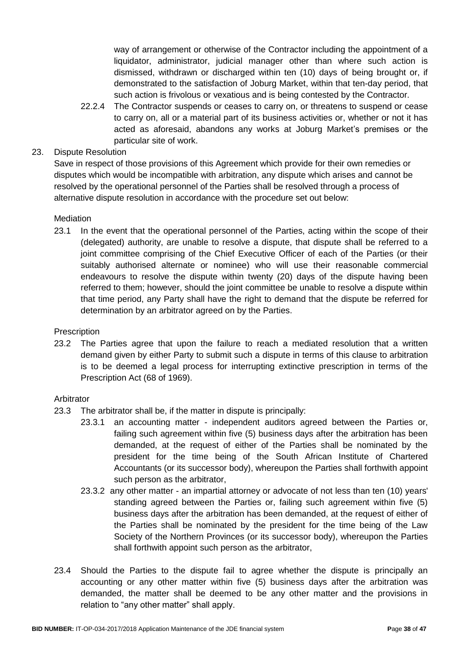way of arrangement or otherwise of the Contractor including the appointment of a liquidator, administrator, judicial manager other than where such action is dismissed, withdrawn or discharged within ten (10) days of being brought or, if demonstrated to the satisfaction of Joburg Market, within that ten-day period, that such action is frivolous or vexatious and is being contested by the Contractor.

22.2.4 The Contractor suspends or ceases to carry on, or threatens to suspend or cease to carry on, all or a material part of its business activities or, whether or not it has acted as aforesaid, abandons any works at Joburg Market's premises or the particular site of work.

### 23. Dispute Resolution

Save in respect of those provisions of this Agreement which provide for their own remedies or disputes which would be incompatible with arbitration, any dispute which arises and cannot be resolved by the operational personnel of the Parties shall be resolved through a process of alternative dispute resolution in accordance with the procedure set out below:

#### **Mediation**

23.1 In the event that the operational personnel of the Parties, acting within the scope of their (delegated) authority, are unable to resolve a dispute, that dispute shall be referred to a joint committee comprising of the Chief Executive Officer of each of the Parties (or their suitably authorised alternate or nominee) who will use their reasonable commercial endeavours to resolve the dispute within twenty (20) days of the dispute having been referred to them; however, should the joint committee be unable to resolve a dispute within that time period, any Party shall have the right to demand that the dispute be referred for determination by an arbitrator agreed on by the Parties.

#### **Prescription**

23.2 The Parties agree that upon the failure to reach a mediated resolution that a written demand given by either Party to submit such a dispute in terms of this clause to arbitration is to be deemed a legal process for interrupting extinctive prescription in terms of the Prescription Act (68 of 1969).

#### Arbitrator

- 23.3 The arbitrator shall be, if the matter in dispute is principally:
	- 23.3.1 an accounting matter independent auditors agreed between the Parties or, failing such agreement within five (5) business days after the arbitration has been demanded, at the request of either of the Parties shall be nominated by the president for the time being of the South African Institute of Chartered Accountants (or its successor body), whereupon the Parties shall forthwith appoint such person as the arbitrator,
	- 23.3.2 any other matter an impartial attorney or advocate of not less than ten (10) years' standing agreed between the Parties or, failing such agreement within five (5) business days after the arbitration has been demanded, at the request of either of the Parties shall be nominated by the president for the time being of the Law Society of the Northern Provinces (or its successor body), whereupon the Parties shall forthwith appoint such person as the arbitrator,
- 23.4 Should the Parties to the dispute fail to agree whether the dispute is principally an accounting or any other matter within five (5) business days after the arbitration was demanded, the matter shall be deemed to be any other matter and the provisions in relation to "any other matter" shall apply.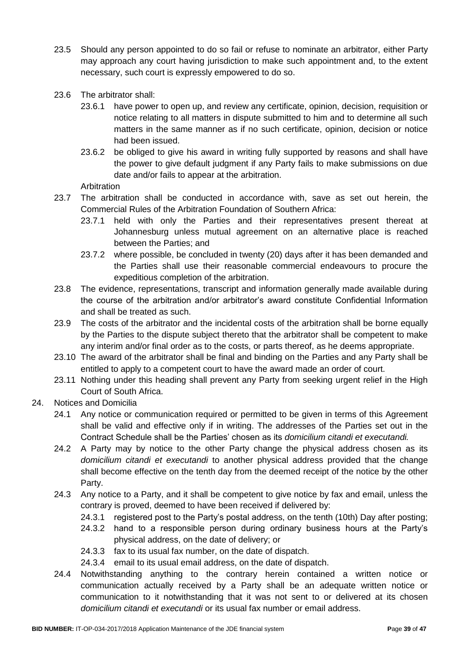- 23.5 Should any person appointed to do so fail or refuse to nominate an arbitrator, either Party may approach any court having jurisdiction to make such appointment and, to the extent necessary, such court is expressly empowered to do so.
- 23.6 The arbitrator shall:
	- 23.6.1 have power to open up, and review any certificate, opinion, decision, requisition or notice relating to all matters in dispute submitted to him and to determine all such matters in the same manner as if no such certificate, opinion, decision or notice had been issued.
	- 23.6.2 be obliged to give his award in writing fully supported by reasons and shall have the power to give default judgment if any Party fails to make submissions on due date and/or fails to appear at the arbitration.

Arbitration

- 23.7 The arbitration shall be conducted in accordance with, save as set out herein, the Commercial Rules of the Arbitration Foundation of Southern Africa:
	- 23.7.1 held with only the Parties and their representatives present thereat at Johannesburg unless mutual agreement on an alternative place is reached between the Parties; and
	- 23.7.2 where possible, be concluded in twenty (20) days after it has been demanded and the Parties shall use their reasonable commercial endeavours to procure the expeditious completion of the arbitration.
- 23.8 The evidence, representations, transcript and information generally made available during the course of the arbitration and/or arbitrator's award constitute Confidential Information and shall be treated as such.
- 23.9 The costs of the arbitrator and the incidental costs of the arbitration shall be borne equally by the Parties to the dispute subject thereto that the arbitrator shall be competent to make any interim and/or final order as to the costs, or parts thereof, as he deems appropriate.
- 23.10 The award of the arbitrator shall be final and binding on the Parties and any Party shall be entitled to apply to a competent court to have the award made an order of court.
- 23.11 Nothing under this heading shall prevent any Party from seeking urgent relief in the High Court of South Africa.
- 24. Notices and Domicilia
	- 24.1 Any notice or communication required or permitted to be given in terms of this Agreement shall be valid and effective only if in writing. The addresses of the Parties set out in the Contract Schedule shall be the Parties' chosen as its *domicilium citandi et executandi.*
	- 24.2 A Party may by notice to the other Party change the physical address chosen as its *domicilium citandi et executandi* to another physical address provided that the change shall become effective on the tenth day from the deemed receipt of the notice by the other Party.
	- 24.3 Any notice to a Party, and it shall be competent to give notice by fax and email, unless the contrary is proved, deemed to have been received if delivered by:
		- 24.3.1 registered post to the Party's postal address, on the tenth (10th) Day after posting;
		- 24.3.2 hand to a responsible person during ordinary business hours at the Party's physical address, on the date of delivery; or
		- 24.3.3 fax to its usual fax number, on the date of dispatch.
		- 24.3.4 email to its usual email address, on the date of dispatch.
	- 24.4 Notwithstanding anything to the contrary herein contained a written notice or communication actually received by a Party shall be an adequate written notice or communication to it notwithstanding that it was not sent to or delivered at its chosen *domicilium citandi et executandi* or its usual fax number or email address.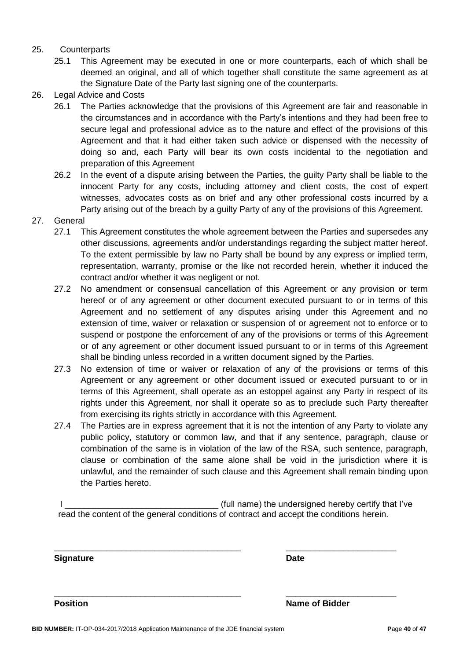#### 25. Counterparts

- 25.1 This Agreement may be executed in one or more counterparts, each of which shall be deemed an original, and all of which together shall constitute the same agreement as at the Signature Date of the Party last signing one of the counterparts.
- 26. Legal Advice and Costs
	- 26.1 The Parties acknowledge that the provisions of this Agreement are fair and reasonable in the circumstances and in accordance with the Party's intentions and they had been free to secure legal and professional advice as to the nature and effect of the provisions of this Agreement and that it had either taken such advice or dispensed with the necessity of doing so and, each Party will bear its own costs incidental to the negotiation and preparation of this Agreement
	- 26.2 In the event of a dispute arising between the Parties, the guilty Party shall be liable to the innocent Party for any costs, including attorney and client costs, the cost of expert witnesses, advocates costs as on brief and any other professional costs incurred by a Party arising out of the breach by a guilty Party of any of the provisions of this Agreement.
- 27. General
	- 27.1 This Agreement constitutes the whole agreement between the Parties and supersedes any other discussions, agreements and/or understandings regarding the subject matter hereof. To the extent permissible by law no Party shall be bound by any express or implied term, representation, warranty, promise or the like not recorded herein, whether it induced the contract and/or whether it was negligent or not.
	- 27.2 No amendment or consensual cancellation of this Agreement or any provision or term hereof or of any agreement or other document executed pursuant to or in terms of this Agreement and no settlement of any disputes arising under this Agreement and no extension of time, waiver or relaxation or suspension of or agreement not to enforce or to suspend or postpone the enforcement of any of the provisions or terms of this Agreement or of any agreement or other document issued pursuant to or in terms of this Agreement shall be binding unless recorded in a written document signed by the Parties.
	- 27.3 No extension of time or waiver or relaxation of any of the provisions or terms of this Agreement or any agreement or other document issued or executed pursuant to or in terms of this Agreement, shall operate as an estoppel against any Party in respect of its rights under this Agreement, nor shall it operate so as to preclude such Party thereafter from exercising its rights strictly in accordance with this Agreement.
	- 27.4 The Parties are in express agreement that it is not the intention of any Party to violate any public policy, statutory or common law, and that if any sentence, paragraph, clause or combination of the same is in violation of the law of the RSA, such sentence, paragraph, clause or combination of the same alone shall be void in the jurisdiction where it is unlawful, and the remainder of such clause and this Agreement shall remain binding upon the Parties hereto.

I Letterman the state of the undersigned hereby certify that I've read the content of the general conditions of contract and accept the conditions herein.

\_\_\_\_\_\_\_\_\_\_\_\_\_\_\_\_\_\_\_\_\_\_\_\_\_\_\_\_\_\_\_\_\_\_\_\_\_\_\_ \_\_\_\_\_\_\_\_\_\_\_\_\_\_\_\_\_\_\_\_\_\_\_

\_\_\_\_\_\_\_\_\_\_\_\_\_\_\_\_\_\_\_\_\_\_\_\_\_\_\_\_\_\_\_\_\_\_\_\_\_\_\_ \_\_\_\_\_\_\_\_\_\_\_\_\_\_\_\_\_\_\_\_\_\_\_

**Signature Date**

**Position Name of Bidder**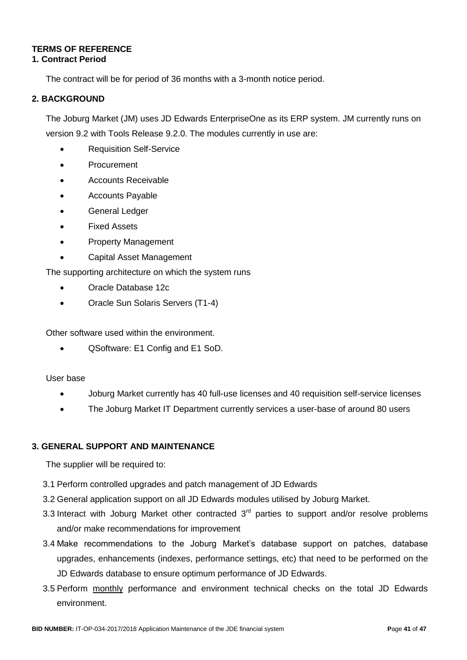#### **TERMS OF REFERENCE 1. Contract Period**

# The contract will be for period of 36 months with a 3-month notice period.

# **2. BACKGROUND**

The Joburg Market (JM) uses JD Edwards EnterpriseOne as its ERP system. JM currently runs on version 9.2 with Tools Release 9.2.0. The modules currently in use are:

- Requisition Self-Service
- Procurement
- Accounts Receivable
- Accounts Payable
- General Ledger
- Fixed Assets
- Property Management
- Capital Asset Management

The supporting architecture on which the system runs

- Oracle Database 12c
- Oracle Sun Solaris Servers (T1-4)

Other software used within the environment.

QSoftware: E1 Config and E1 SoD.

### User base

- Joburg Market currently has 40 full-use licenses and 40 requisition self-service licenses
- The Joburg Market IT Department currently services a user-base of around 80 users

### **3. GENERAL SUPPORT AND MAINTENANCE**

The supplier will be required to:

- 3.1 Perform controlled upgrades and patch management of JD Edwards
- 3.2 General application support on all JD Edwards modules utilised by Joburg Market.
- 3.3 Interact with Joburg Market other contracted  $3<sup>rd</sup>$  parties to support and/or resolve problems and/or make recommendations for improvement
- 3.4 Make recommendations to the Joburg Market's database support on patches, database upgrades, enhancements (indexes, performance settings, etc) that need to be performed on the JD Edwards database to ensure optimum performance of JD Edwards.
- 3.5 Perform monthly performance and environment technical checks on the total JD Edwards environment.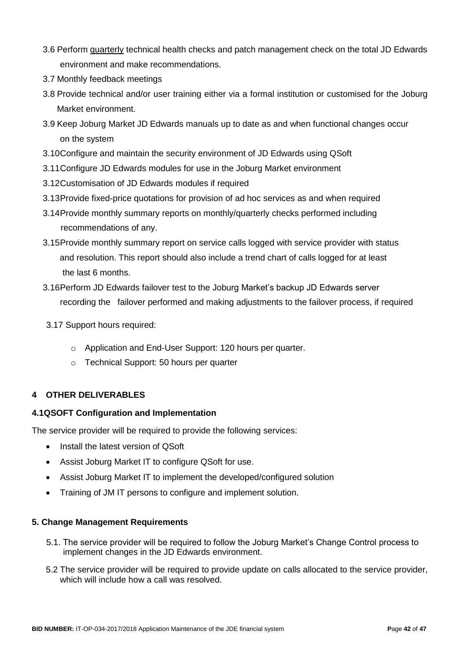- 3.6 Perform quarterly technical health checks and patch management check on the total JD Edwards environment and make recommendations.
- 3.7 Monthly feedback meetings
- 3.8 Provide technical and/or user training either via a formal institution or customised for the Joburg Market environment.
- 3.9 Keep Joburg Market JD Edwards manuals up to date as and when functional changes occur on the system
- 3.10Configure and maintain the security environment of JD Edwards using QSoft
- 3.11Configure JD Edwards modules for use in the Joburg Market environment
- 3.12Customisation of JD Edwards modules if required
- 3.13Provide fixed-price quotations for provision of ad hoc services as and when required
- 3.14Provide monthly summary reports on monthly/quarterly checks performed including recommendations of any.
- 3.15Provide monthly summary report on service calls logged with service provider with status and resolution. This report should also include a trend chart of calls logged for at least the last 6 months.
- 3.16Perform JD Edwards failover test to the Joburg Market's backup JD Edwards server recording the failover performed and making adjustments to the failover process, if required
- 3.17 Support hours required:
	- o Application and End-User Support: 120 hours per quarter.
	- o Technical Support: 50 hours per quarter

### **4 OTHER DELIVERABLES**

#### **4.1QSOFT Configuration and Implementation**

The service provider will be required to provide the following services:

- Install the latest version of QSoft
- Assist Joburg Market IT to configure QSoft for use.
- Assist Joburg Market IT to implement the developed/configured solution
- Training of JM IT persons to configure and implement solution.

#### **5. Change Management Requirements**

- 5.1. The service provider will be required to follow the Joburg Market's Change Control process to implement changes in the JD Edwards environment.
- 5.2 The service provider will be required to provide update on calls allocated to the service provider, which will include how a call was resolved.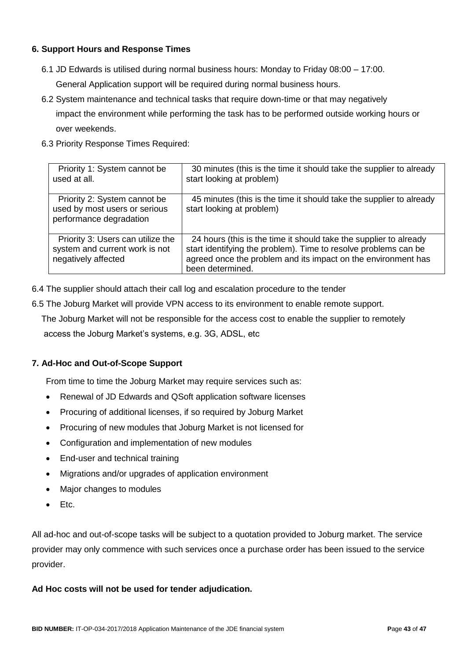### **6. Support Hours and Response Times**

- 6.1 JD Edwards is utilised during normal business hours: Monday to Friday 08:00 17:00. General Application support will be required during normal business hours.
- 6.2 System maintenance and technical tasks that require down-time or that may negatively impact the environment while performing the task has to be performed outside working hours or over weekends.
- 6.3 Priority Response Times Required:

| Priority 1: System cannot be<br>used at all.                                               | 30 minutes (this is the time it should take the supplier to already<br>start looking at problem)                                                                                                                          |
|--------------------------------------------------------------------------------------------|---------------------------------------------------------------------------------------------------------------------------------------------------------------------------------------------------------------------------|
| Priority 2: System cannot be<br>used by most users or serious<br>performance degradation   | 45 minutes (this is the time it should take the supplier to already<br>start looking at problem)                                                                                                                          |
| Priority 3: Users can utilize the<br>system and current work is not<br>negatively affected | 24 hours (this is the time it should take the supplier to already<br>start identifying the problem). Time to resolve problems can be<br>agreed once the problem and its impact on the environment has<br>been determined. |

- 6.4 The supplier should attach their call log and escalation procedure to the tender
- 6.5 The Joburg Market will provide VPN access to its environment to enable remote support.

The Joburg Market will not be responsible for the access cost to enable the supplier to remotely

access the Joburg Market's systems, e.g. 3G, ADSL, etc

### **7. Ad-Hoc and Out-of-Scope Support**

From time to time the Joburg Market may require services such as:

- Renewal of JD Edwards and QSoft application software licenses
- Procuring of additional licenses, if so required by Joburg Market
- Procuring of new modules that Joburg Market is not licensed for
- Configuration and implementation of new modules
- End-user and technical training
- Migrations and/or upgrades of application environment
- Major changes to modules
- $\bullet$  Ftc.

All ad-hoc and out-of-scope tasks will be subject to a quotation provided to Joburg market. The service provider may only commence with such services once a purchase order has been issued to the service provider.

#### **Ad Hoc costs will not be used for tender adjudication.**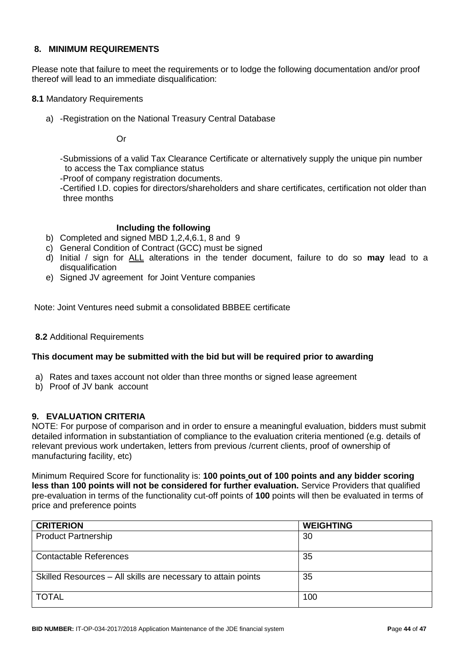#### **8. MINIMUM REQUIREMENTS**

Please note that failure to meet the requirements or to lodge the following documentation and/or proof thereof will lead to an immediate disqualification:

- **8.1** Mandatory Requirements
	- a) -Registration on the National Treasury Central Database

Or

-Submissions of a valid Tax Clearance Certificate or alternatively supply the unique pin number to access the Tax compliance status

-Proof of company registration documents.

-Certified I.D. copies for directors/shareholders and share certificates, certification not older than three months

#### **Including the following**

- b) Completed and signed MBD 1,2,4,6.1, 8 and 9
- c) General Condition of Contract (GCC) must be signed
- d) Initial / sign for ALL alterations in the tender document, failure to do so **may** lead to a disqualification
- e) Signed JV agreement for Joint Venture companies

Note: Joint Ventures need submit a consolidated BBBEE certificate

#### **8.2** Additional Requirements

#### **This document may be submitted with the bid but will be required prior to awarding**

- a) Rates and taxes account not older than three months or signed lease agreement
- b) Proof of JV bank account

#### **9. EVALUATION CRITERIA**

NOTE: For purpose of comparison and in order to ensure a meaningful evaluation, bidders must submit detailed information in substantiation of compliance to the evaluation criteria mentioned (e.g. details of relevant previous work undertaken, letters from previous /current clients, proof of ownership of manufacturing facility, etc)

Minimum Required Score for functionality is: **100 points out of 100 points and any bidder scoring less than 100 points will not be considered for further evaluation.** Service Providers that qualified pre-evaluation in terms of the functionality cut-off points of **100** points will then be evaluated in terms of price and preference points

| <b>CRITERION</b>                                              | <b>WEIGHTING</b> |
|---------------------------------------------------------------|------------------|
| <b>Product Partnership</b>                                    | 30               |
| <b>Contactable References</b>                                 | 35               |
| Skilled Resources - All skills are necessary to attain points | 35               |
| <b>TOTAL</b>                                                  | 100              |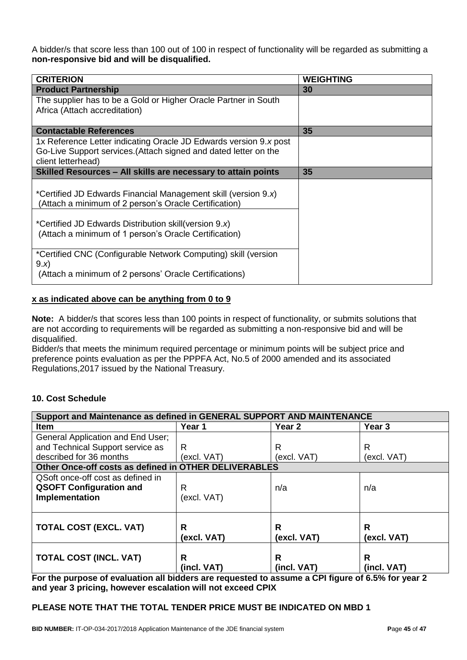A bidder/s that score less than 100 out of 100 in respect of functionality will be regarded as submitting a **non-responsive bid and will be disqualified.**

| <b>CRITERION</b>                                                  | <b>WEIGHTING</b> |
|-------------------------------------------------------------------|------------------|
| <b>Product Partnership</b>                                        | 30               |
| The supplier has to be a Gold or Higher Oracle Partner in South   |                  |
| Africa (Attach accreditation)                                     |                  |
|                                                                   |                  |
| <b>Contactable References</b>                                     | 35               |
| 1x Reference Letter indicating Oracle JD Edwards version 9.x post |                  |
| Go-Live Support services. (Attach signed and dated letter on the  |                  |
| client letterhead)                                                |                  |
| Skilled Resources – All skills are necessary to attain points     | 35               |
|                                                                   |                  |
| *Certified JD Edwards Financial Management skill (version 9.x)    |                  |
| (Attach a minimum of 2 person's Oracle Certification)             |                  |
|                                                                   |                  |
| *Certified JD Edwards Distribution skill(version 9.x)             |                  |
| (Attach a minimum of 1 person's Oracle Certification)             |                  |
|                                                                   |                  |
| *Certified CNC (Configurable Network Computing) skill (version    |                  |
| 9.x)                                                              |                  |
| (Attach a minimum of 2 persons' Oracle Certifications)            |                  |

#### **x as indicated above can be anything from 0 to 9**

**Note:** A bidder/s that scores less than 100 points in respect of functionality, or submits solutions that are not according to requirements will be regarded as submitting a non-responsive bid and will be disqualified.

Bidder/s that meets the minimum required percentage or minimum points will be subject price and preference points evaluation as per the PPPFA Act, No.5 of 2000 amended and its associated Regulations,2017 issued by the National Treasury.

#### **10. Cost Schedule**

| Support and Maintenance as defined in GENERAL SUPPORT AND MAINTENANCE |             |             |             |  |  |  |  |
|-----------------------------------------------------------------------|-------------|-------------|-------------|--|--|--|--|
| Item                                                                  | Year 1      | Year 2      | Year 3      |  |  |  |  |
| General Application and End User;                                     |             |             |             |  |  |  |  |
| and Technical Support service as                                      | R           | R           | R           |  |  |  |  |
| described for 36 months                                               | (excl. VAT) | (excl. VAT) | (excl. VAT) |  |  |  |  |
| Other Once-off costs as defined in OTHER DELIVERABLES                 |             |             |             |  |  |  |  |
| QSoft once-off cost as defined in                                     |             |             |             |  |  |  |  |
| <b>QSOFT Configuration and</b>                                        | R           | n/a         | n/a         |  |  |  |  |
| Implementation                                                        | (excl. VAT) |             |             |  |  |  |  |
|                                                                       |             |             |             |  |  |  |  |
|                                                                       |             |             |             |  |  |  |  |
| <b>TOTAL COST (EXCL. VAT)</b>                                         | R           | R           | R           |  |  |  |  |
|                                                                       | (excl. VAT) | (excl. VAT) | (excl. VAT) |  |  |  |  |
|                                                                       | R           |             | R           |  |  |  |  |
| <b>TOTAL COST (INCL. VAT)</b>                                         |             | R           |             |  |  |  |  |
| __<br>$\overline{\phantom{a}}$<br>                                    | (incl. VAT) | (incl. VAT) | (incl. VAT) |  |  |  |  |

**For the purpose of evaluation all bidders are requested to assume a CPI figure of 6.5% for year 2 and year 3 pricing, however escalation will not exceed CPIX**

#### **PLEASE NOTE THAT THE TOTAL TENDER PRICE MUST BE INDICATED ON MBD 1**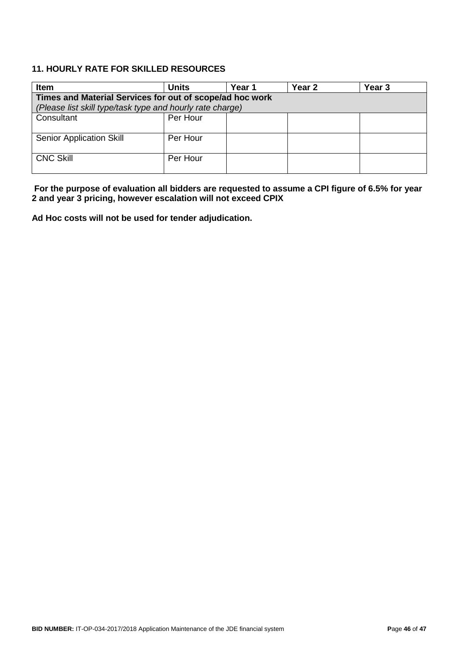### **11. HOURLY RATE FOR SKILLED RESOURCES**

| <b>Item</b>                                               | <b>Units</b> | Year 1 | Year 2 | Year <sub>3</sub> |  |  |  |
|-----------------------------------------------------------|--------------|--------|--------|-------------------|--|--|--|
| Times and Material Services for out of scope/ad hoc work  |              |        |        |                   |  |  |  |
| (Please list skill type/task type and hourly rate charge) |              |        |        |                   |  |  |  |
| Consultant                                                | Per Hour     |        |        |                   |  |  |  |
|                                                           |              |        |        |                   |  |  |  |
| <b>Senior Application Skill</b>                           | Per Hour     |        |        |                   |  |  |  |
|                                                           |              |        |        |                   |  |  |  |
| <b>CNC Skill</b>                                          | Per Hour     |        |        |                   |  |  |  |
|                                                           |              |        |        |                   |  |  |  |

**For the purpose of evaluation all bidders are requested to assume a CPI figure of 6.5% for year 2 and year 3 pricing, however escalation will not exceed CPIX**

**Ad Hoc costs will not be used for tender adjudication.**